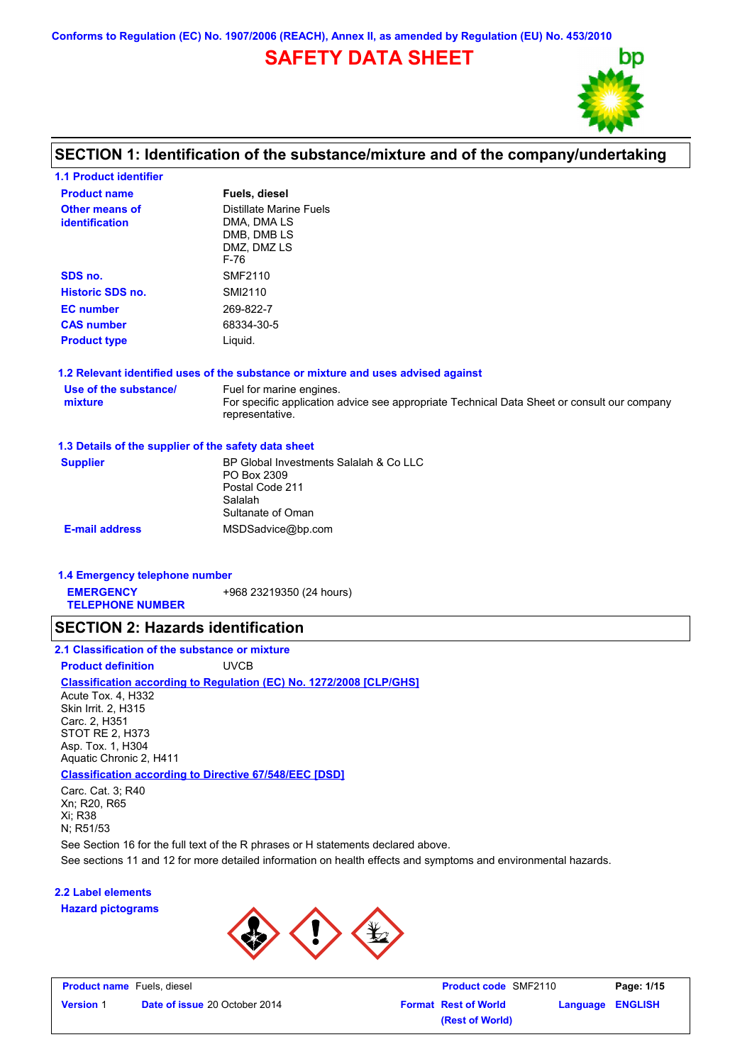**Conforms to Regulation (EC) No. 1907/2006 (REACH), Annex II, as amended by Regulation (EU) No. 453/2010**

# **SAFETY DATA SHEET**



# **SECTION 1: Identification of the substance/mixture and of the company/undertaking**

| <b>1.1 Product identifier</b>                        |                                                                                                                                            |
|------------------------------------------------------|--------------------------------------------------------------------------------------------------------------------------------------------|
| <b>Product name</b>                                  | Fuels, diesel                                                                                                                              |
| Other means of<br><b>identification</b>              | <b>Distillate Marine Fuels</b><br>DMA, DMA LS<br>DMB, DMB LS<br>DMZ, DMZ LS<br>F-76                                                        |
| SDS no.                                              | <b>SMF2110</b>                                                                                                                             |
| <b>Historic SDS no.</b>                              | SMI2110                                                                                                                                    |
| <b>EC</b> number                                     | 269-822-7                                                                                                                                  |
| <b>CAS number</b>                                    | 68334-30-5                                                                                                                                 |
| <b>Product type</b>                                  | Liquid.                                                                                                                                    |
|                                                      | 1.2 Relevant identified uses of the substance or mixture and uses advised against                                                          |
| Use of the substance/<br>mixture                     | Fuel for marine engines.<br>For specific application advice see appropriate Technical Data Sheet or consult our company<br>representative. |
| 1.3 Details of the supplier of the safety data sheet |                                                                                                                                            |
| <b>Supplier</b>                                      | BP Global Investments Salalah & Co LLC<br>PO Box 2309<br>Postal Code 211<br>Salalah<br>Sultanate of Oman                                   |
| <b>E-mail address</b>                                | MSDSadvice@bp.com                                                                                                                          |

# **1.4 Emergency telephone number**

**EMERGENCY**  +968 23219350 (24 hours)

**TELEPHONE NUMBER**

### **SECTION 2: Hazards identification**

**Classification according to Regulation (EC) No. 1272/2008 [CLP/GHS] 2.1 Classification of the substance or mixture Product definition** UVCB

**Classification according to Directive 67/548/EEC [DSD]** Acute Tox. 4, H332 Skin Irrit. 2, H315 Carc. 2, H351 STOT RE 2, H373 Asp. Tox. 1, H304 Aquatic Chronic 2, H411

Carc. Cat. 3; R40

Xn; R20, R65 Xi; R38 N; R51/53

See Section 16 for the full text of the R phrases or H statements declared above.

See sections 11 and 12 for more detailed information on health effects and symptoms and environmental hazards.

### **2.2 Label elements**

**Hazard pictograms**



| <b>Product name</b> Fuels, diesel |                                      | <b>Product code SMF2110</b> |                  | Page: 1/15 |
|-----------------------------------|--------------------------------------|-----------------------------|------------------|------------|
| <b>Version 1</b>                  | <b>Date of issue 20 October 2014</b> | <b>Format Rest of World</b> | Language ENGLISH |            |
|                                   |                                      | (Rest of World)             |                  |            |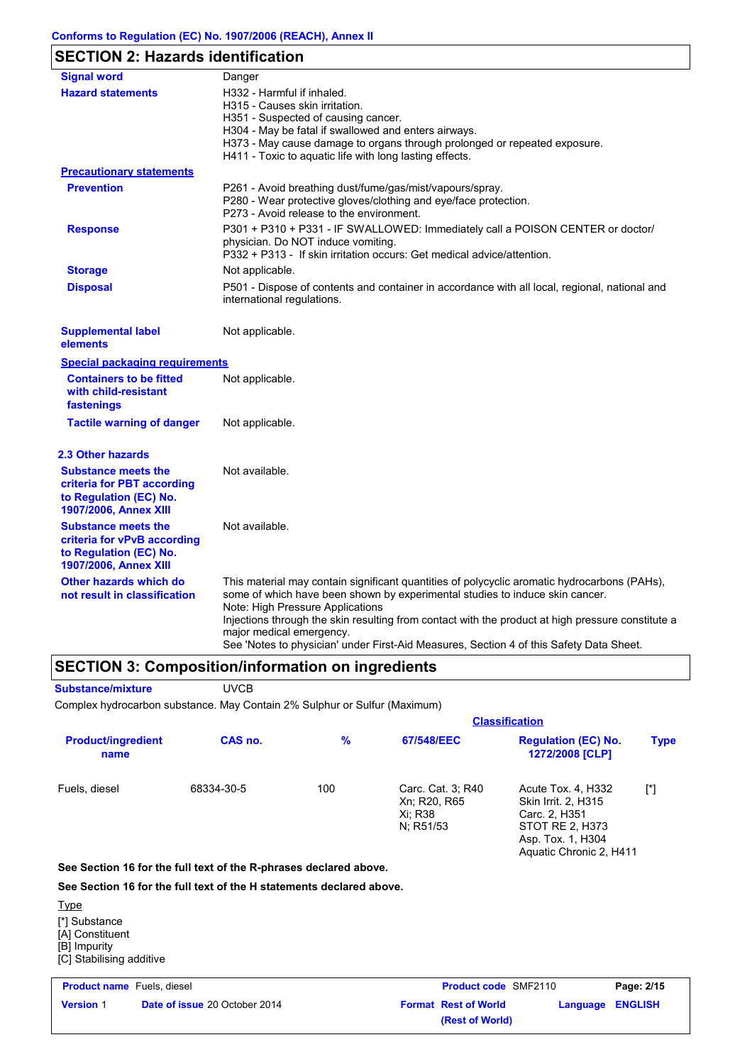# **SECTION 2: Hazards identification**

| <b>Signal word</b>                                                                                           | Danger                                                                                                                                                                                                                                                                                                                                                                                                                                       |
|--------------------------------------------------------------------------------------------------------------|----------------------------------------------------------------------------------------------------------------------------------------------------------------------------------------------------------------------------------------------------------------------------------------------------------------------------------------------------------------------------------------------------------------------------------------------|
| <b>Hazard statements</b>                                                                                     | H332 - Harmful if inhaled.<br>H315 - Causes skin irritation.<br>H351 - Suspected of causing cancer.<br>H304 - May be fatal if swallowed and enters airways.<br>H373 - May cause damage to organs through prolonged or repeated exposure.<br>H411 - Toxic to aquatic life with long lasting effects.                                                                                                                                          |
| <b>Precautionary statements</b>                                                                              |                                                                                                                                                                                                                                                                                                                                                                                                                                              |
| <b>Prevention</b>                                                                                            | P261 - Avoid breathing dust/fume/gas/mist/vapours/spray.<br>P280 - Wear protective gloves/clothing and eye/face protection.<br>P273 - Avoid release to the environment.                                                                                                                                                                                                                                                                      |
| <b>Response</b>                                                                                              | P301 + P310 + P331 - IF SWALLOWED: Immediately call a POISON CENTER or doctor/<br>physician. Do NOT induce vomiting.<br>P332 + P313 - If skin irritation occurs: Get medical advice/attention.                                                                                                                                                                                                                                               |
| <b>Storage</b>                                                                                               | Not applicable.                                                                                                                                                                                                                                                                                                                                                                                                                              |
| <b>Disposal</b>                                                                                              | P501 - Dispose of contents and container in accordance with all local, regional, national and<br>international regulations.                                                                                                                                                                                                                                                                                                                  |
| <b>Supplemental label</b><br>elements                                                                        | Not applicable.                                                                                                                                                                                                                                                                                                                                                                                                                              |
| <b>Special packaging requirements</b>                                                                        |                                                                                                                                                                                                                                                                                                                                                                                                                                              |
| <b>Containers to be fitted</b><br>with child-resistant<br>fastenings                                         | Not applicable.                                                                                                                                                                                                                                                                                                                                                                                                                              |
| <b>Tactile warning of danger</b>                                                                             | Not applicable.                                                                                                                                                                                                                                                                                                                                                                                                                              |
| <b>2.3 Other hazards</b>                                                                                     |                                                                                                                                                                                                                                                                                                                                                                                                                                              |
| <b>Substance meets the</b><br>criteria for PBT according<br>to Regulation (EC) No.<br>1907/2006, Annex XIII  | Not available.                                                                                                                                                                                                                                                                                                                                                                                                                               |
| <b>Substance meets the</b><br>criteria for vPvB according<br>to Regulation (EC) No.<br>1907/2006, Annex XIII | Not available.                                                                                                                                                                                                                                                                                                                                                                                                                               |
| Other hazards which do<br>not result in classification                                                       | This material may contain significant quantities of polycyclic aromatic hydrocarbons (PAHs),<br>some of which have been shown by experimental studies to induce skin cancer.<br>Note: High Pressure Applications<br>Injections through the skin resulting from contact with the product at high pressure constitute a<br>major medical emergency.<br>See 'Notes to physician' under First-Aid Measures, Section 4 of this Safety Data Sheet. |

# **SECTION 3: Composition/information on ingredients**

**Substance/mixture** UVCB

Complex hydrocarbon substance. May Contain 2% Sulphur or Sulfur (Maximum)

|                                                                                             |                                                                      |               |                                      | <b>Classification</b>       |                                                                                                                                      |                |
|---------------------------------------------------------------------------------------------|----------------------------------------------------------------------|---------------|--------------------------------------|-----------------------------|--------------------------------------------------------------------------------------------------------------------------------------|----------------|
| <b>Product/ingredient</b><br>name                                                           | CAS no.                                                              | $\frac{9}{6}$ | 67/548/EEC                           |                             | <b>Regulation (EC) No.</b><br>1272/2008 [CLP]                                                                                        | <b>Type</b>    |
| Fuels, diesel                                                                               | 68334-30-5                                                           | 100           | Xn; R20, R65<br>Xi: R38<br>N; R51/53 | Carc. Cat. 3; R40           | Acute Tox. 4, H332<br><b>Skin Irrit. 2, H315</b><br>Carc. 2, H351<br>STOT RE 2, H373<br>Asp. Tox. 1, H304<br>Aquatic Chronic 2, H411 | $[^*]$         |
|                                                                                             | See Section 16 for the full text of the R-phrases declared above.    |               |                                      |                             |                                                                                                                                      |                |
|                                                                                             | See Section 16 for the full text of the H statements declared above. |               |                                      |                             |                                                                                                                                      |                |
| <u>Type</u><br>[*] Substance<br>[A] Constituent<br>[B] Impurity<br>[C] Stabilising additive |                                                                      |               |                                      |                             |                                                                                                                                      |                |
| <b>Product name</b> Fuels, diesel                                                           |                                                                      |               |                                      | <b>Product code SMF2110</b> |                                                                                                                                      | Page: 2/15     |
| <b>Version 1</b>                                                                            | Date of issue 20 October 2014                                        |               |                                      | <b>Format Rest of World</b> | Language                                                                                                                             | <b>ENGLISH</b> |

**(Rest of World)**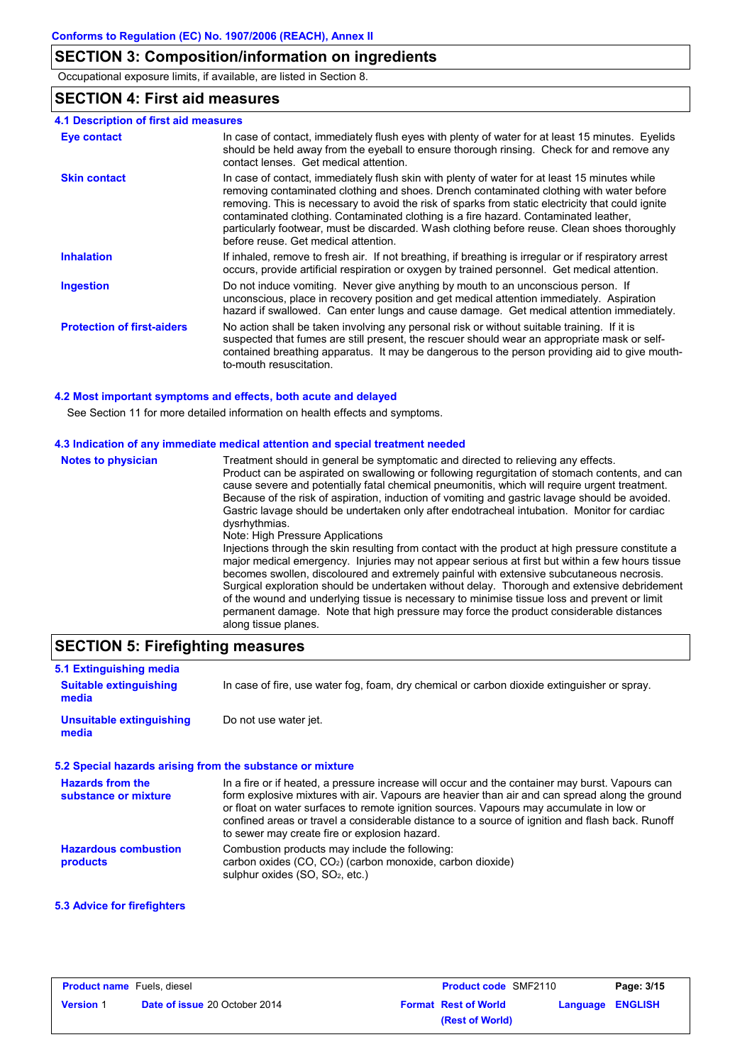# **SECTION 3: Composition/information on ingredients**

Occupational exposure limits, if available, are listed in Section 8.

# **SECTION 4: First aid measures**

|  |  |  | 4.1 Description of first aid measures |  |
|--|--|--|---------------------------------------|--|
|--|--|--|---------------------------------------|--|

| <b>Eye contact</b>                | In case of contact, immediately flush eyes with plenty of water for at least 15 minutes. Eyelids<br>should be held away from the eyeball to ensure thorough rinsing. Check for and remove any<br>contact lenses. Get medical attention.                                                                                                                                                                                                                                                                                        |
|-----------------------------------|--------------------------------------------------------------------------------------------------------------------------------------------------------------------------------------------------------------------------------------------------------------------------------------------------------------------------------------------------------------------------------------------------------------------------------------------------------------------------------------------------------------------------------|
| <b>Skin contact</b>               | In case of contact, immediately flush skin with plenty of water for at least 15 minutes while<br>removing contaminated clothing and shoes. Drench contaminated clothing with water before<br>removing. This is necessary to avoid the risk of sparks from static electricity that could ignite<br>contaminated clothing. Contaminated clothing is a fire hazard. Contaminated leather,<br>particularly footwear, must be discarded. Wash clothing before reuse. Clean shoes thoroughly<br>before reuse. Get medical attention. |
| <b>Inhalation</b>                 | If inhaled, remove to fresh air. If not breathing, if breathing is irregular or if respiratory arrest<br>occurs, provide artificial respiration or oxygen by trained personnel. Get medical attention.                                                                                                                                                                                                                                                                                                                         |
| <b>Ingestion</b>                  | Do not induce vomiting. Never give anything by mouth to an unconscious person. If<br>unconscious, place in recovery position and get medical attention immediately. Aspiration<br>hazard if swallowed. Can enter lungs and cause damage. Get medical attention immediately.                                                                                                                                                                                                                                                    |
| <b>Protection of first-aiders</b> | No action shall be taken involving any personal risk or without suitable training. If it is<br>suspected that fumes are still present, the rescuer should wear an appropriate mask or self-<br>contained breathing apparatus. It may be dangerous to the person providing aid to give mouth-<br>to-mouth resuscitation.                                                                                                                                                                                                        |

### **4.2 Most important symptoms and effects, both acute and delayed**

See Section 11 for more detailed information on health effects and symptoms.

### **4.3 Indication of any immediate medical attention and special treatment needed**

| <b>Notes to physician</b> | Treatment should in general be symptomatic and directed to relieving any effects.<br>Product can be aspirated on swallowing or following regurgitation of stomach contents, and can<br>cause severe and potentially fatal chemical pneumonitis, which will require urgent treatment.<br>Because of the risk of aspiration, induction of vomiting and gastric lavage should be avoided.<br>Gastric lavage should be undertaken only after endotracheal intubation. Monitor for cardiac<br>dysrhythmias.<br>Note: High Pressure Applications<br>Injections through the skin resulting from contact with the product at high pressure constitute a<br>major medical emergency. Injuries may not appear serious at first but within a few hours tissue<br>becomes swollen, discoloured and extremely painful with extensive subcutaneous necrosis.<br>Surgical exploration should be undertaken without delay. Thorough and extensive debridement<br>of the wound and underlying tissue is necessary to minimise tissue loss and prevent or limit<br>permanent damage. Note that high pressure may force the product considerable distances<br>along tissue planes. |
|---------------------------|-----------------------------------------------------------------------------------------------------------------------------------------------------------------------------------------------------------------------------------------------------------------------------------------------------------------------------------------------------------------------------------------------------------------------------------------------------------------------------------------------------------------------------------------------------------------------------------------------------------------------------------------------------------------------------------------------------------------------------------------------------------------------------------------------------------------------------------------------------------------------------------------------------------------------------------------------------------------------------------------------------------------------------------------------------------------------------------------------------------------------------------------------------------------|
|---------------------------|-----------------------------------------------------------------------------------------------------------------------------------------------------------------------------------------------------------------------------------------------------------------------------------------------------------------------------------------------------------------------------------------------------------------------------------------------------------------------------------------------------------------------------------------------------------------------------------------------------------------------------------------------------------------------------------------------------------------------------------------------------------------------------------------------------------------------------------------------------------------------------------------------------------------------------------------------------------------------------------------------------------------------------------------------------------------------------------------------------------------------------------------------------------------|

# **SECTION 5: Firefighting measures**

| 5.1 Extinguishing media                                   |                                                                                                                                                                                                                                                                                                                                                                                                                                                  |
|-----------------------------------------------------------|--------------------------------------------------------------------------------------------------------------------------------------------------------------------------------------------------------------------------------------------------------------------------------------------------------------------------------------------------------------------------------------------------------------------------------------------------|
| <b>Suitable extinguishing</b><br>media                    | In case of fire, use water fog, foam, dry chemical or carbon dioxide extinguisher or spray.                                                                                                                                                                                                                                                                                                                                                      |
| <b>Unsuitable extinguishing</b><br>media                  | Do not use water jet.                                                                                                                                                                                                                                                                                                                                                                                                                            |
| 5.2 Special hazards arising from the substance or mixture |                                                                                                                                                                                                                                                                                                                                                                                                                                                  |
| <b>Hazards from the</b><br>substance or mixture           | In a fire or if heated, a pressure increase will occur and the container may burst. Vapours can<br>form explosive mixtures with air. Vapours are heavier than air and can spread along the ground<br>or float on water surfaces to remote ignition sources. Vapours may accumulate in low or<br>confined areas or travel a considerable distance to a source of ignition and flash back. Runoff<br>to sewer may create fire or explosion hazard. |
| <b>Hazardous combustion</b><br>products                   | Combustion products may include the following:<br>carbon oxides (CO, CO <sub>2</sub> ) (carbon monoxide, carbon dioxide)<br>sulphur oxides (SO, SO <sub>2</sub> , etc.)                                                                                                                                                                                                                                                                          |

## **5.3 Advice for firefighters**

| <b>Product name</b> Fuels, diesel |                                      | <b>Product code SMF2110</b> | Page: 3/15                  |                         |
|-----------------------------------|--------------------------------------|-----------------------------|-----------------------------|-------------------------|
| <b>Version 1</b>                  | <b>Date of issue 20 October 2014</b> |                             | <b>Format Rest of World</b> | <b>Language ENGLISH</b> |
|                                   |                                      |                             | (Rest of World)             |                         |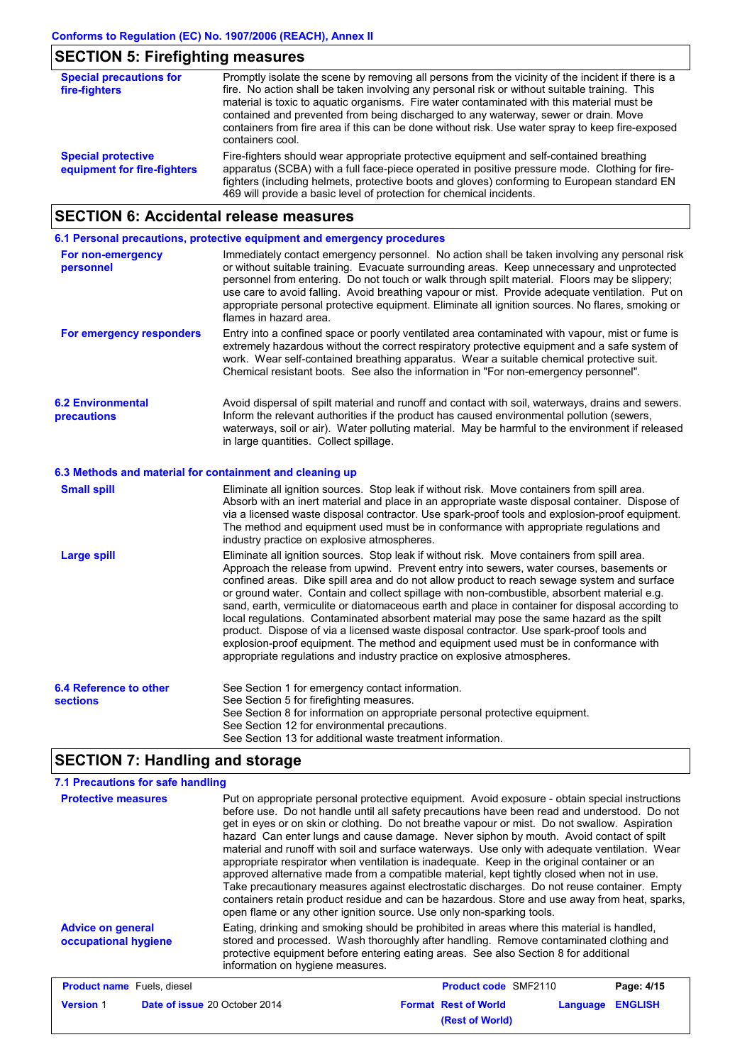# **SECTION 5: Firefighting measures**

| <b>Special precautions for</b><br>fire-fighters          | Promptly isolate the scene by removing all persons from the vicinity of the incident if there is a<br>fire. No action shall be taken involving any personal risk or without suitable training. This<br>material is toxic to aquatic organisms. Fire water contaminated with this material must be<br>contained and prevented from being discharged to any waterway, sewer or drain. Move<br>containers from fire area if this can be done without risk. Use water spray to keep fire-exposed<br>containers cool. |
|----------------------------------------------------------|------------------------------------------------------------------------------------------------------------------------------------------------------------------------------------------------------------------------------------------------------------------------------------------------------------------------------------------------------------------------------------------------------------------------------------------------------------------------------------------------------------------|
| <b>Special protective</b><br>equipment for fire-fighters | Fire-fighters should wear appropriate protective equipment and self-contained breathing<br>apparatus (SCBA) with a full face-piece operated in positive pressure mode. Clothing for fire-<br>fighters (including helmets, protective boots and gloves) conforming to European standard EN<br>469 will provide a basic level of protection for chemical incidents.                                                                                                                                                |

# **SECTION 6: Accidental release measures**

|                                                | 6.1 Personal precautions, protective equipment and emergency procedures                                                                                                                                                                                                                                                                                                                                                                                                                                                       |
|------------------------------------------------|-------------------------------------------------------------------------------------------------------------------------------------------------------------------------------------------------------------------------------------------------------------------------------------------------------------------------------------------------------------------------------------------------------------------------------------------------------------------------------------------------------------------------------|
| For non-emergency<br>personnel                 | Immediately contact emergency personnel. No action shall be taken involving any personal risk<br>or without suitable training. Evacuate surrounding areas. Keep unnecessary and unprotected<br>personnel from entering. Do not touch or walk through spilt material. Floors may be slippery;<br>use care to avoid falling. Avoid breathing vapour or mist. Provide adequate ventilation. Put on<br>appropriate personal protective equipment. Eliminate all ignition sources. No flares, smoking or<br>flames in hazard area. |
| For emergency responders                       | Entry into a confined space or poorly ventilated area contaminated with vapour, mist or fume is<br>extremely hazardous without the correct respiratory protective equipment and a safe system of<br>work. Wear self-contained breathing apparatus. Wear a suitable chemical protective suit.<br>Chemical resistant boots. See also the information in "For non-emergency personnel".                                                                                                                                          |
| <b>6.2 Environmental</b><br><b>precautions</b> | Avoid dispersal of spilt material and runoff and contact with soil, waterways, drains and sewers.<br>Inform the relevant authorities if the product has caused environmental pollution (sewers,<br>waterways, soil or air). Water polluting material. May be harmful to the environment if released<br>in large quantities. Collect spillage.                                                                                                                                                                                 |

### **6.3 Methods and material for containment and cleaning up**

| <b>Small spill</b>                        | Eliminate all ignition sources. Stop leak if without risk. Move containers from spill area.<br>Absorb with an inert material and place in an appropriate waste disposal container. Dispose of<br>via a licensed waste disposal contractor. Use spark-proof tools and explosion-proof equipment.<br>The method and equipment used must be in conformance with appropriate regulations and<br>industry practice on explosive atmospheres.                                                                                                                                                                                                                                                                                                                                                                                                            |
|-------------------------------------------|----------------------------------------------------------------------------------------------------------------------------------------------------------------------------------------------------------------------------------------------------------------------------------------------------------------------------------------------------------------------------------------------------------------------------------------------------------------------------------------------------------------------------------------------------------------------------------------------------------------------------------------------------------------------------------------------------------------------------------------------------------------------------------------------------------------------------------------------------|
| Large spill                               | Eliminate all ignition sources. Stop leak if without risk. Move containers from spill area.<br>Approach the release from upwind. Prevent entry into sewers, water courses, basements or<br>confined areas. Dike spill area and do not allow product to reach sewage system and surface<br>or ground water. Contain and collect spillage with non-combustible, absorbent material e.g.<br>sand, earth, vermiculite or diatomaceous earth and place in container for disposal according to<br>local regulations. Contaminated absorbent material may pose the same hazard as the spilt<br>product. Dispose of via a licensed waste disposal contractor. Use spark-proof tools and<br>explosion-proof equipment. The method and equipment used must be in conformance with<br>appropriate regulations and industry practice on explosive atmospheres. |
| 6.4 Reference to other<br><b>sections</b> | See Section 1 for emergency contact information.<br>See Section 5 for firefighting measures.<br>See Section 8 for information on appropriate personal protective equipment.<br>See Section 12 for environmental precautions.<br>See Section 13 for additional waste treatment information.                                                                                                                                                                                                                                                                                                                                                                                                                                                                                                                                                         |

# **SECTION 7: Handling and storage**

| 7.1 Precautions for safe handling                |                                                                                                                                                                                                                                                                                                                                                                                                                                                                                                                                                                                                                                                                                                                                                                                                                                                                                                                                                                  |                                                                                                                                                                                                                                                                              |                            |  |  |  |
|--------------------------------------------------|------------------------------------------------------------------------------------------------------------------------------------------------------------------------------------------------------------------------------------------------------------------------------------------------------------------------------------------------------------------------------------------------------------------------------------------------------------------------------------------------------------------------------------------------------------------------------------------------------------------------------------------------------------------------------------------------------------------------------------------------------------------------------------------------------------------------------------------------------------------------------------------------------------------------------------------------------------------|------------------------------------------------------------------------------------------------------------------------------------------------------------------------------------------------------------------------------------------------------------------------------|----------------------------|--|--|--|
| <b>Protective measures</b>                       | Put on appropriate personal protective equipment. Avoid exposure - obtain special instructions<br>before use. Do not handle until all safety precautions have been read and understood. Do not<br>get in eyes or on skin or clothing. Do not breathe vapour or mist. Do not swallow. Aspiration<br>hazard Can enter lungs and cause damage. Never siphon by mouth. Avoid contact of spilt<br>material and runoff with soil and surface waterways. Use only with adequate ventilation. Wear<br>appropriate respirator when ventilation is inadequate. Keep in the original container or an<br>approved alternative made from a compatible material, kept tightly closed when not in use.<br>Take precautionary measures against electrostatic discharges. Do not reuse container. Empty<br>containers retain product residue and can be hazardous. Store and use away from heat, sparks,<br>open flame or any other ignition source. Use only non-sparking tools. |                                                                                                                                                                                                                                                                              |                            |  |  |  |
| <b>Advice on general</b><br>occupational hygiene | information on hygiene measures.                                                                                                                                                                                                                                                                                                                                                                                                                                                                                                                                                                                                                                                                                                                                                                                                                                                                                                                                 | Eating, drinking and smoking should be prohibited in areas where this material is handled,<br>stored and processed. Wash thoroughly after handling. Remove contaminated clothing and<br>protective equipment before entering eating areas. See also Section 8 for additional |                            |  |  |  |
| <b>Product name</b> Fuels, diesel                |                                                                                                                                                                                                                                                                                                                                                                                                                                                                                                                                                                                                                                                                                                                                                                                                                                                                                                                                                                  | <b>Product code SMF2110</b>                                                                                                                                                                                                                                                  | Page: 4/15                 |  |  |  |
| <b>Version 1</b>                                 | Date of issue 20 October 2014                                                                                                                                                                                                                                                                                                                                                                                                                                                                                                                                                                                                                                                                                                                                                                                                                                                                                                                                    | <b>Format Rest of World</b><br>(Rest of World)                                                                                                                                                                                                                               | <b>ENGLISH</b><br>Language |  |  |  |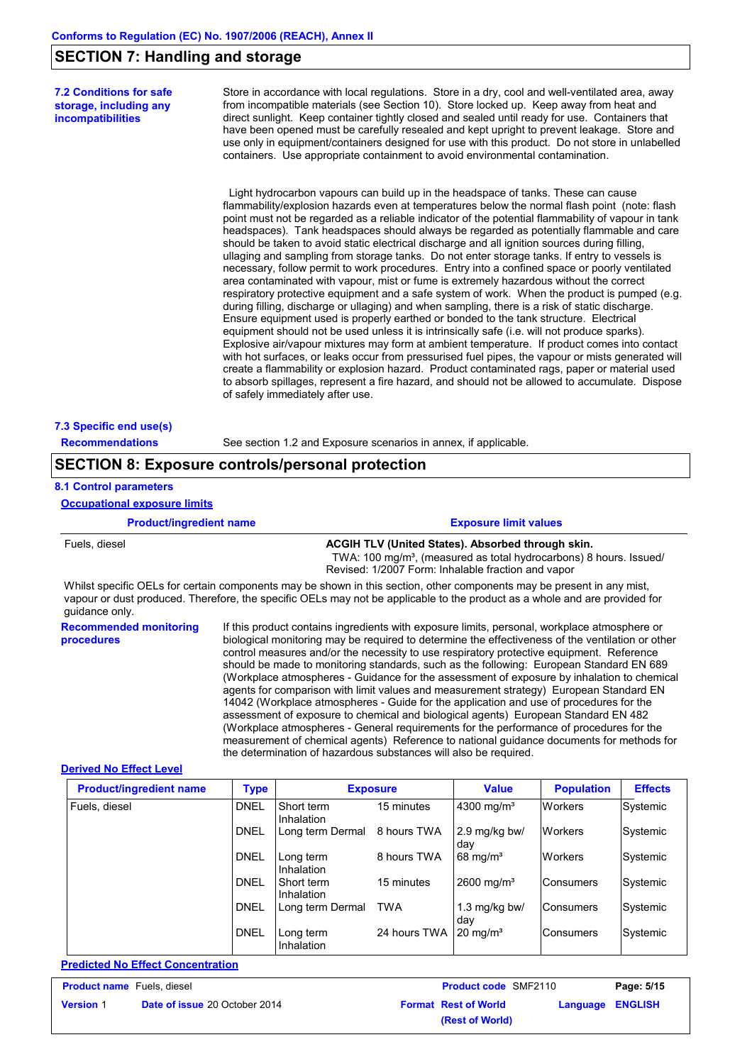# **SECTION 7: Handling and storage**

**7.2 Conditions for safe storage, including any incompatibilities**

Store in accordance with local regulations. Store in a dry, cool and well-ventilated area, away from incompatible materials (see Section 10). Store locked up. Keep away from heat and direct sunlight. Keep container tightly closed and sealed until ready for use. Containers that have been opened must be carefully resealed and kept upright to prevent leakage. Store and use only in equipment/containers designed for use with this product. Do not store in unlabelled containers. Use appropriate containment to avoid environmental contamination.

 Light hydrocarbon vapours can build up in the headspace of tanks. These can cause flammability/explosion hazards even at temperatures below the normal flash point (note: flash point must not be regarded as a reliable indicator of the potential flammability of vapour in tank headspaces). Tank headspaces should always be regarded as potentially flammable and care should be taken to avoid static electrical discharge and all ignition sources during filling, ullaging and sampling from storage tanks. Do not enter storage tanks. If entry to vessels is necessary, follow permit to work procedures. Entry into a confined space or poorly ventilated area contaminated with vapour, mist or fume is extremely hazardous without the correct respiratory protective equipment and a safe system of work. When the product is pumped (e.g. during filling, discharge or ullaging) and when sampling, there is a risk of static discharge. Ensure equipment used is properly earthed or bonded to the tank structure. Electrical equipment should not be used unless it is intrinsically safe (i.e. will not produce sparks). Explosive air/vapour mixtures may form at ambient temperature. If product comes into contact with hot surfaces, or leaks occur from pressurised fuel pipes, the vapour or mists generated will create a flammability or explosion hazard. Product contaminated rags, paper or material used to absorb spillages, represent a fire hazard, and should not be allowed to accumulate. Dispose of safely immediately after use.

#### **7.3 Specific end use(s)**

**Recommendations** See section 1.2 and Exposure scenarios in annex, if applicable.

# **SECTION 8: Exposure controls/personal protection**

#### **8.1 Control parameters Occupational exposure limits**

| <b>Product/ingredient name</b>              | <b>Exposure limit values</b>                                                                                                                                                                                                                                                                                                                                                                                                                                                                                                                                                                                                                                                                                                                                                                                                                                                                                                                                                                                               |
|---------------------------------------------|----------------------------------------------------------------------------------------------------------------------------------------------------------------------------------------------------------------------------------------------------------------------------------------------------------------------------------------------------------------------------------------------------------------------------------------------------------------------------------------------------------------------------------------------------------------------------------------------------------------------------------------------------------------------------------------------------------------------------------------------------------------------------------------------------------------------------------------------------------------------------------------------------------------------------------------------------------------------------------------------------------------------------|
| Fuels, diesel                               | <b>ACGIH TLV (United States). Absorbed through skin.</b><br>TWA: 100 mg/m <sup>3</sup> , (measured as total hydrocarbons) 8 hours. Issued/<br>Revised: 1/2007 Form: Inhalable fraction and vapor                                                                                                                                                                                                                                                                                                                                                                                                                                                                                                                                                                                                                                                                                                                                                                                                                           |
| quidance only.                              | Whilst specific OELs for certain components may be shown in this section, other components may be present in any mist,<br>vapour or dust produced. Therefore, the specific OELs may not be applicable to the product as a whole and are provided for                                                                                                                                                                                                                                                                                                                                                                                                                                                                                                                                                                                                                                                                                                                                                                       |
| <b>Recommended monitoring</b><br>procedures | If this product contains ingredients with exposure limits, personal, workplace atmosphere or<br>biological monitoring may be required to determine the effectiveness of the ventilation or other<br>control measures and/or the necessity to use respiratory protective equipment. Reference<br>should be made to monitoring standards, such as the following: European Standard EN 689<br>(Workplace atmospheres - Guidance for the assessment of exposure by inhalation to chemical<br>agents for comparison with limit values and measurement strategy) European Standard EN<br>14042 (Workplace atmospheres - Guide for the application and use of procedures for the<br>assessment of exposure to chemical and biological agents) European Standard EN 482<br>(Workplace atmospheres - General requirements for the performance of procedures for the<br>measurement of chemical agents) Reference to national guidance documents for methods for<br>the determination of hazardous substances will also be required. |

#### **Derived No Effect Level**

| <b>Product/ingredient name</b> | <b>Type</b> |                          | <b>Exposure</b> | <b>Value</b>           | <b>Population</b> | <b>Effects</b> |
|--------------------------------|-------------|--------------------------|-----------------|------------------------|-------------------|----------------|
| Fuels, diesel                  | <b>DNEL</b> | Short term<br>Inhalation | 15 minutes      | 4300 mg/m <sup>3</sup> | <b>Workers</b>    | Systemic       |
|                                | <b>DNEL</b> | Long term Dermal         | 8 hours TWA     | 2.9 mg/kg bw/<br>day   | <b>Workers</b>    | Systemic       |
|                                | <b>DNEL</b> | Long term<br>Inhalation  | 8 hours TWA     | $68 \text{ mg/m}^3$    | <b>Workers</b>    | Systemic       |
|                                | <b>DNEL</b> | Short term<br>Inhalation | 15 minutes      | 2600 mg/m <sup>3</sup> | <b>Consumers</b>  | Systemic       |
|                                | <b>DNEL</b> | Long term Dermal         | <b>TWA</b>      | 1.3 mg/kg bw/<br>dav   | Consumers         | Systemic       |
|                                | <b>DNEL</b> | Long term<br>Inhalation  | 24 hours TWA    | $20 \text{ mg/m}^3$    | <b>Consumers</b>  | Systemic       |

**Predicted No Effect Concentration**

| <b>Product name</b> Fuels, diesel |                                      | <b>Product code SMF2110</b> | Page: 5/15              |
|-----------------------------------|--------------------------------------|-----------------------------|-------------------------|
| <b>Version 1</b>                  | <b>Date of issue 20 October 2014</b> | <b>Format Rest of World</b> | <b>Language ENGLISH</b> |
|                                   |                                      | (Rest of World)             |                         |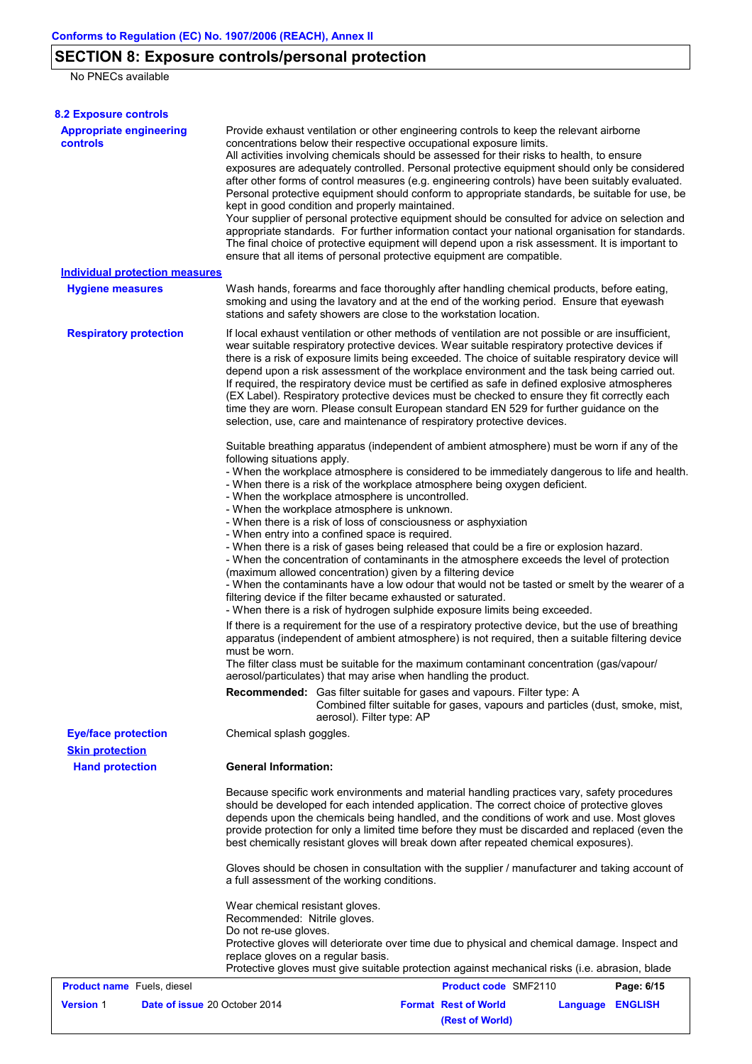# **SECTION 8: Exposure controls/personal protection**

No PNECs available

| <b>8.2 Exposure controls</b>                         |                                                                                                                                                                                                                                                                                                                                                                                                                                                                                                                                                                                                                                                                                                                                                                                                                                                                                                                                                                                                         |  |  |  |  |  |  |
|------------------------------------------------------|---------------------------------------------------------------------------------------------------------------------------------------------------------------------------------------------------------------------------------------------------------------------------------------------------------------------------------------------------------------------------------------------------------------------------------------------------------------------------------------------------------------------------------------------------------------------------------------------------------------------------------------------------------------------------------------------------------------------------------------------------------------------------------------------------------------------------------------------------------------------------------------------------------------------------------------------------------------------------------------------------------|--|--|--|--|--|--|
| <b>Appropriate engineering</b><br>controls           | Provide exhaust ventilation or other engineering controls to keep the relevant airborne<br>concentrations below their respective occupational exposure limits.<br>All activities involving chemicals should be assessed for their risks to health, to ensure<br>exposures are adequately controlled. Personal protective equipment should only be considered<br>after other forms of control measures (e.g. engineering controls) have been suitably evaluated.<br>Personal protective equipment should conform to appropriate standards, be suitable for use, be<br>kept in good condition and properly maintained.<br>Your supplier of personal protective equipment should be consulted for advice on selection and<br>appropriate standards. For further information contact your national organisation for standards.<br>The final choice of protective equipment will depend upon a risk assessment. It is important to<br>ensure that all items of personal protective equipment are compatible. |  |  |  |  |  |  |
| <b>Individual protection measures</b>                |                                                                                                                                                                                                                                                                                                                                                                                                                                                                                                                                                                                                                                                                                                                                                                                                                                                                                                                                                                                                         |  |  |  |  |  |  |
| <b>Hygiene measures</b>                              | Wash hands, forearms and face thoroughly after handling chemical products, before eating,<br>smoking and using the lavatory and at the end of the working period. Ensure that eyewash<br>stations and safety showers are close to the workstation location.                                                                                                                                                                                                                                                                                                                                                                                                                                                                                                                                                                                                                                                                                                                                             |  |  |  |  |  |  |
| <b>Respiratory protection</b>                        | If local exhaust ventilation or other methods of ventilation are not possible or are insufficient,<br>wear suitable respiratory protective devices. Wear suitable respiratory protective devices if<br>there is a risk of exposure limits being exceeded. The choice of suitable respiratory device will<br>depend upon a risk assessment of the workplace environment and the task being carried out.<br>If required, the respiratory device must be certified as safe in defined explosive atmospheres<br>(EX Label). Respiratory protective devices must be checked to ensure they fit correctly each<br>time they are worn. Please consult European standard EN 529 for further guidance on the<br>selection, use, care and maintenance of respiratory protective devices.                                                                                                                                                                                                                          |  |  |  |  |  |  |
|                                                      | Suitable breathing apparatus (independent of ambient atmosphere) must be worn if any of the<br>following situations apply.<br>- When the workplace atmosphere is considered to be immediately dangerous to life and health.<br>- When there is a risk of the workplace atmosphere being oxygen deficient.<br>- When the workplace atmosphere is uncontrolled.<br>- When the workplace atmosphere is unknown.<br>- When there is a risk of loss of consciousness or asphyxiation<br>- When entry into a confined space is required.<br>- When there is a risk of gases being released that could be a fire or explosion hazard.<br>- When the concentration of contaminants in the atmosphere exceeds the level of protection<br>(maximum allowed concentration) given by a filtering device<br>- When the contaminants have a low odour that would not be tasted or smelt by the wearer of a<br>filtering device if the filter became exhausted or saturated.                                           |  |  |  |  |  |  |
|                                                      | - When there is a risk of hydrogen sulphide exposure limits being exceeded.<br>If there is a requirement for the use of a respiratory protective device, but the use of breathing<br>apparatus (independent of ambient atmosphere) is not required, then a suitable filtering device<br>must be worn.<br>The filter class must be suitable for the maximum contaminant concentration (gas/vapour/<br>aerosol/particulates) that may arise when handling the product.                                                                                                                                                                                                                                                                                                                                                                                                                                                                                                                                    |  |  |  |  |  |  |
|                                                      | <b>Recommended:</b> Gas filter suitable for gases and vapours. Filter type: A<br>Combined filter suitable for gases, vapours and particles (dust, smoke, mist,<br>aerosol). Filter type: AP                                                                                                                                                                                                                                                                                                                                                                                                                                                                                                                                                                                                                                                                                                                                                                                                             |  |  |  |  |  |  |
| <b>Eye/face protection</b><br><b>Skin protection</b> | Chemical splash goggles.                                                                                                                                                                                                                                                                                                                                                                                                                                                                                                                                                                                                                                                                                                                                                                                                                                                                                                                                                                                |  |  |  |  |  |  |
| <b>Hand protection</b>                               | <b>General Information:</b>                                                                                                                                                                                                                                                                                                                                                                                                                                                                                                                                                                                                                                                                                                                                                                                                                                                                                                                                                                             |  |  |  |  |  |  |
|                                                      | Because specific work environments and material handling practices vary, safety procedures<br>should be developed for each intended application. The correct choice of protective gloves<br>depends upon the chemicals being handled, and the conditions of work and use. Most gloves<br>provide protection for only a limited time before they must be discarded and replaced (even the<br>best chemically resistant gloves will break down after repeated chemical exposures).                                                                                                                                                                                                                                                                                                                                                                                                                                                                                                                        |  |  |  |  |  |  |
|                                                      | Gloves should be chosen in consultation with the supplier / manufacturer and taking account of<br>a full assessment of the working conditions.                                                                                                                                                                                                                                                                                                                                                                                                                                                                                                                                                                                                                                                                                                                                                                                                                                                          |  |  |  |  |  |  |
|                                                      | Wear chemical resistant gloves.<br>Recommended: Nitrile gloves.<br>Do not re-use gloves.<br>Protective gloves will deteriorate over time due to physical and chemical damage. Inspect and<br>replace gloves on a regular basis.<br>Protective gloves must give suitable protection against mechanical risks (i.e. abrasion, blade                                                                                                                                                                                                                                                                                                                                                                                                                                                                                                                                                                                                                                                                       |  |  |  |  |  |  |
| <b>Product name</b> Fuels, diesel                    | <b>Product code SMF2110</b><br>Page: 6/15                                                                                                                                                                                                                                                                                                                                                                                                                                                                                                                                                                                                                                                                                                                                                                                                                                                                                                                                                               |  |  |  |  |  |  |
| <b>Version 1</b><br>Date of issue 20 October 2014    | <b>Format Rest of World</b><br><b>Language</b><br><b>ENGLISH</b><br>(Rest of World)                                                                                                                                                                                                                                                                                                                                                                                                                                                                                                                                                                                                                                                                                                                                                                                                                                                                                                                     |  |  |  |  |  |  |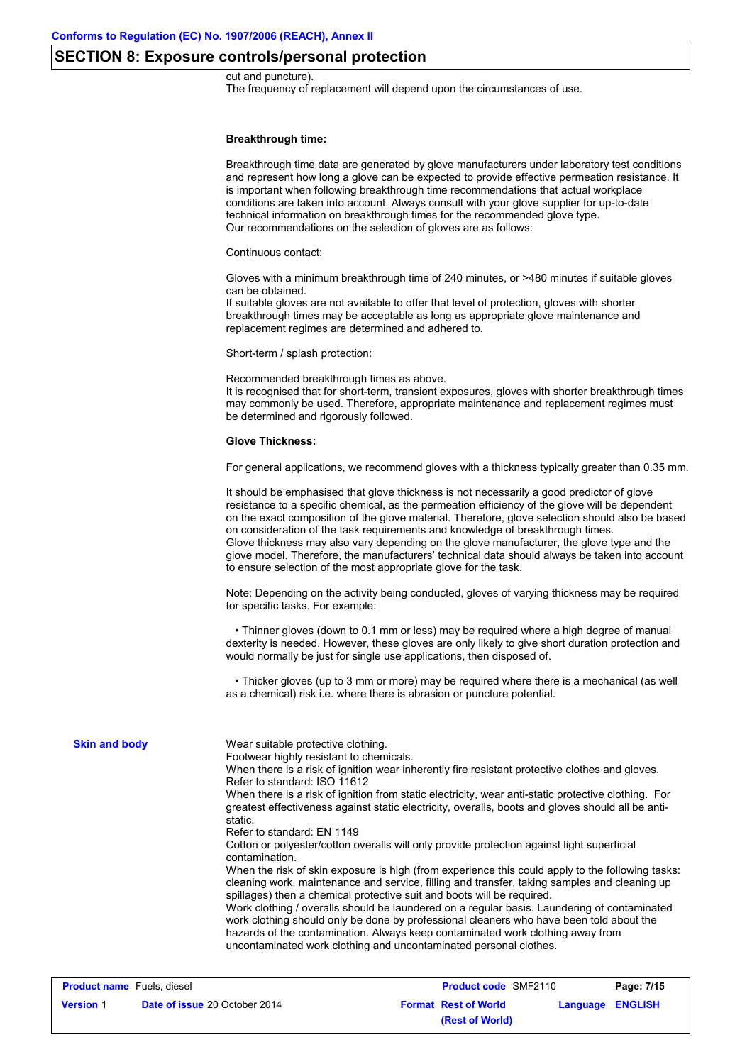# **SECTION 8: Exposure controls/personal protection**

#### cut and puncture).

The frequency of replacement will depend upon the circumstances of use.

#### **Breakthrough time:**

|                      | Breakthrough time data are generated by glove manufacturers under laboratory test conditions<br>and represent how long a glove can be expected to provide effective permeation resistance. It<br>is important when following breakthrough time recommendations that actual workplace<br>conditions are taken into account. Always consult with your glove supplier for up-to-date<br>technical information on breakthrough times for the recommended glove type.<br>Our recommendations on the selection of gloves are as follows:                                                                                                                                                                                                                                                                                                                                                                                                                                                                                                                                                                                                                                                                                  |
|----------------------|---------------------------------------------------------------------------------------------------------------------------------------------------------------------------------------------------------------------------------------------------------------------------------------------------------------------------------------------------------------------------------------------------------------------------------------------------------------------------------------------------------------------------------------------------------------------------------------------------------------------------------------------------------------------------------------------------------------------------------------------------------------------------------------------------------------------------------------------------------------------------------------------------------------------------------------------------------------------------------------------------------------------------------------------------------------------------------------------------------------------------------------------------------------------------------------------------------------------|
|                      | Continuous contact:                                                                                                                                                                                                                                                                                                                                                                                                                                                                                                                                                                                                                                                                                                                                                                                                                                                                                                                                                                                                                                                                                                                                                                                                 |
|                      | Gloves with a minimum breakthrough time of 240 minutes, or >480 minutes if suitable gloves<br>can be obtained.<br>If suitable gloves are not available to offer that level of protection, gloves with shorter<br>breakthrough times may be acceptable as long as appropriate glove maintenance and<br>replacement regimes are determined and adhered to.                                                                                                                                                                                                                                                                                                                                                                                                                                                                                                                                                                                                                                                                                                                                                                                                                                                            |
|                      | Short-term / splash protection:                                                                                                                                                                                                                                                                                                                                                                                                                                                                                                                                                                                                                                                                                                                                                                                                                                                                                                                                                                                                                                                                                                                                                                                     |
|                      | Recommended breakthrough times as above.<br>It is recognised that for short-term, transient exposures, gloves with shorter breakthrough times<br>may commonly be used. Therefore, appropriate maintenance and replacement regimes must<br>be determined and rigorously followed.                                                                                                                                                                                                                                                                                                                                                                                                                                                                                                                                                                                                                                                                                                                                                                                                                                                                                                                                    |
|                      | <b>Glove Thickness:</b>                                                                                                                                                                                                                                                                                                                                                                                                                                                                                                                                                                                                                                                                                                                                                                                                                                                                                                                                                                                                                                                                                                                                                                                             |
|                      | For general applications, we recommend gloves with a thickness typically greater than 0.35 mm.                                                                                                                                                                                                                                                                                                                                                                                                                                                                                                                                                                                                                                                                                                                                                                                                                                                                                                                                                                                                                                                                                                                      |
|                      | It should be emphasised that glove thickness is not necessarily a good predictor of glove<br>resistance to a specific chemical, as the permeation efficiency of the glove will be dependent<br>on the exact composition of the glove material. Therefore, glove selection should also be based<br>on consideration of the task requirements and knowledge of breakthrough times.<br>Glove thickness may also vary depending on the glove manufacturer, the glove type and the<br>glove model. Therefore, the manufacturers' technical data should always be taken into account<br>to ensure selection of the most appropriate glove for the task.                                                                                                                                                                                                                                                                                                                                                                                                                                                                                                                                                                   |
|                      | Note: Depending on the activity being conducted, gloves of varying thickness may be required<br>for specific tasks. For example:                                                                                                                                                                                                                                                                                                                                                                                                                                                                                                                                                                                                                                                                                                                                                                                                                                                                                                                                                                                                                                                                                    |
|                      | • Thinner gloves (down to 0.1 mm or less) may be required where a high degree of manual<br>dexterity is needed. However, these gloves are only likely to give short duration protection and<br>would normally be just for single use applications, then disposed of.                                                                                                                                                                                                                                                                                                                                                                                                                                                                                                                                                                                                                                                                                                                                                                                                                                                                                                                                                |
|                      | • Thicker gloves (up to 3 mm or more) may be required where there is a mechanical (as well<br>as a chemical) risk i.e. where there is abrasion or puncture potential.                                                                                                                                                                                                                                                                                                                                                                                                                                                                                                                                                                                                                                                                                                                                                                                                                                                                                                                                                                                                                                               |
| <b>Skin and body</b> | Wear suitable protective clothing.<br>Footwear highly resistant to chemicals.<br>When there is a risk of ignition wear inherently fire resistant protective clothes and gloves.<br>Refer to standard: ISO 11612<br>When there is a risk of ignition from static electricity, wear anti-static protective clothing. For<br>greatest effectiveness against static electricity, overalls, boots and gloves should all be anti-<br>static.<br>Refer to standard: EN 1149<br>Cotton or polyester/cotton overalls will only provide protection against light superficial<br>contamination.<br>When the risk of skin exposure is high (from experience this could apply to the following tasks:<br>cleaning work, maintenance and service, filling and transfer, taking samples and cleaning up<br>spillages) then a chemical protective suit and boots will be required.<br>Work clothing / overalls should be laundered on a regular basis. Laundering of contaminated<br>work clothing should only be done by professional cleaners who have been told about the<br>hazards of the contamination. Always keep contaminated work clothing away from<br>uncontaminated work clothing and uncontaminated personal clothes. |

| <b>Product name</b> Fuels, diesel |                                      | <b>Product code SMF2110</b> |                         | Page: 7/15 |
|-----------------------------------|--------------------------------------|-----------------------------|-------------------------|------------|
| <b>Version 1</b>                  | <b>Date of issue 20 October 2014</b> | <b>Format Rest of World</b> | <b>Language ENGLISH</b> |            |
|                                   |                                      | (Rest of World)             |                         |            |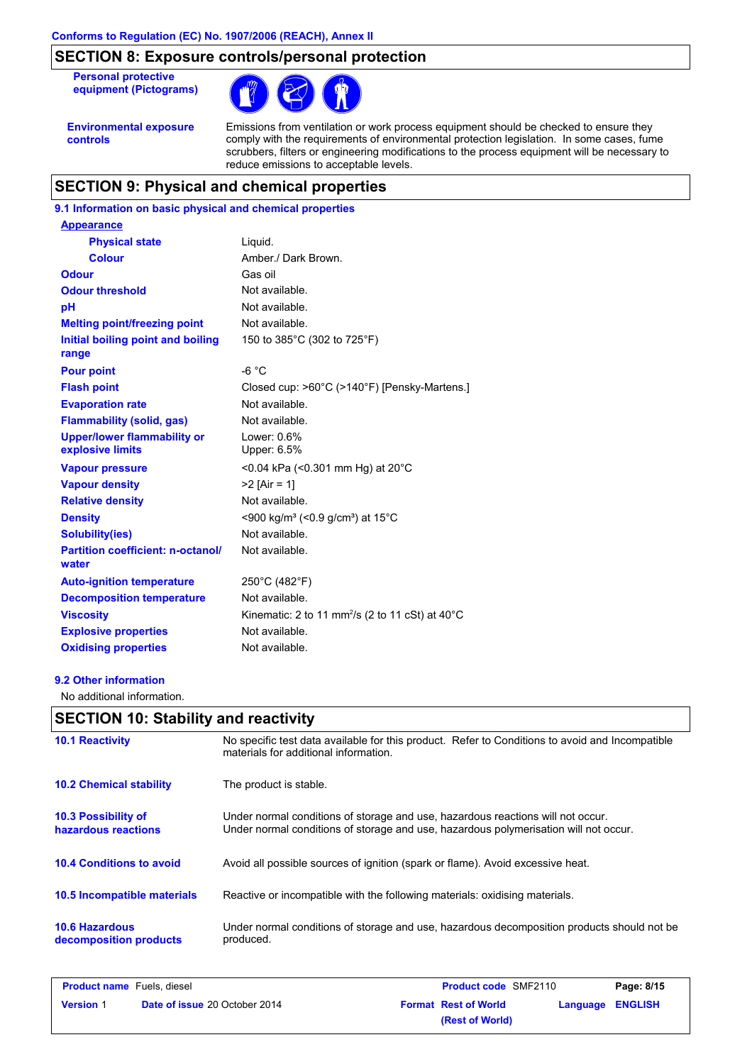# **SECTION 8: Exposure controls/personal protection**

**Personal protective equipment (Pictograms)**



**Environmental exposure controls**

Emissions from ventilation or work process equipment should be checked to ensure they comply with the requirements of environmental protection legislation. In some cases, fume scrubbers, filters or engineering modifications to the process equipment will be necessary to reduce emissions to acceptable levels.

# **SECTION 9: Physical and chemical properties**

# **9.1 Information on basic physical and chemical properties**

| <b>Appearance</b>                                      |                                                                       |
|--------------------------------------------------------|-----------------------------------------------------------------------|
| <b>Physical state</b>                                  | Liquid.                                                               |
| <b>Colour</b>                                          | Amber./ Dark Brown.                                                   |
| <b>Odour</b>                                           | Gas oil                                                               |
| <b>Odour threshold</b>                                 | Not available.                                                        |
| pH                                                     | Not available.                                                        |
| <b>Melting point/freezing point</b>                    | Not available.                                                        |
| Initial boiling point and boiling<br>range             | 150 to 385°C (302 to 725°F)                                           |
| <b>Pour point</b>                                      | $-6 °C$                                                               |
| <b>Flash point</b>                                     | Closed cup: >60°C (>140°F) [Pensky-Martens.]                          |
| <b>Evaporation rate</b>                                | Not available.                                                        |
| <b>Flammability (solid, gas)</b>                       | Not available.                                                        |
| <b>Upper/lower flammability or</b><br>explosive limits | Lower: 0.6%<br>Upper: 6.5%                                            |
| <b>Vapour pressure</b>                                 | <0.04 kPa (<0.301 mm Hg) at 20°C                                      |
| <b>Vapour density</b>                                  | $>2$ [Air = 1]                                                        |
| <b>Relative density</b>                                | Not available.                                                        |
| <b>Density</b>                                         | <900 kg/m <sup>3</sup> (<0.9 g/cm <sup>3</sup> ) at 15 <sup>°</sup> C |
| <b>Solubility(ies)</b>                                 | Not available.                                                        |
| <b>Partition coefficient: n-octanol/</b><br>water      | Not available.                                                        |
| <b>Auto-ignition temperature</b>                       | 250°C (482°F)                                                         |
| <b>Decomposition temperature</b>                       | Not available.                                                        |
| <b>Viscosity</b>                                       | Kinematic: 2 to 11 mm <sup>2</sup> /s (2 to 11 cSt) at $40^{\circ}$ C |
| <b>Explosive properties</b>                            | Not available.                                                        |
| <b>Oxidising properties</b>                            | Not available.                                                        |

### **9.2 Other information**

No additional information.

|                                                   | <b>SECTION 10: Stability and reactivity</b>                                                                                                                             |  |  |  |  |  |
|---------------------------------------------------|-------------------------------------------------------------------------------------------------------------------------------------------------------------------------|--|--|--|--|--|
| <b>10.1 Reactivity</b>                            | No specific test data available for this product. Refer to Conditions to avoid and Incompatible<br>materials for additional information.                                |  |  |  |  |  |
| <b>10.2 Chemical stability</b>                    | The product is stable.                                                                                                                                                  |  |  |  |  |  |
| <b>10.3 Possibility of</b><br>hazardous reactions | Under normal conditions of storage and use, hazardous reactions will not occur.<br>Under normal conditions of storage and use, hazardous polymerisation will not occur. |  |  |  |  |  |
| <b>10.4 Conditions to avoid</b>                   | Avoid all possible sources of ignition (spark or flame). Avoid excessive heat.                                                                                          |  |  |  |  |  |
| <b>10.5 Incompatible materials</b>                | Reactive or incompatible with the following materials: oxidising materials.                                                                                             |  |  |  |  |  |
| <b>10.6 Hazardous</b><br>decomposition products   | Under normal conditions of storage and use, hazardous decomposition products should not be<br>produced.                                                                 |  |  |  |  |  |

| <b>Product name</b> Fuels, diesel |                                      | <b>Product code SMF2110</b><br>Page: 8/15                 |  |
|-----------------------------------|--------------------------------------|-----------------------------------------------------------|--|
| <b>Version 1</b>                  | <b>Date of issue 20 October 2014</b> | <b>Format Rest of World</b><br><b>ENGLISH</b><br>Language |  |
|                                   |                                      | (Rest of World)                                           |  |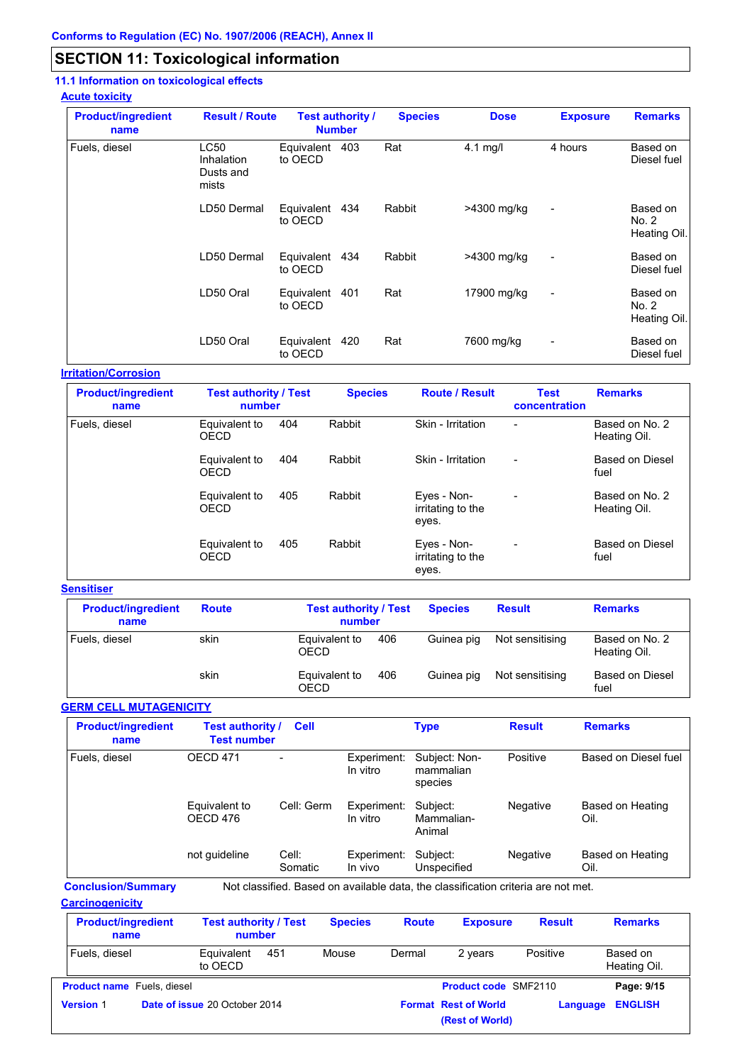# **SECTION 11: Toxicological information**

# **11.1 Information on toxicological effects**

### **Acute toxicity**

| <b>Product/ingredient</b><br>name | <b>Result / Route</b>                           | <b>Test authority /</b><br><b>Number</b> |     | <b>Species</b> | <b>Dose</b> | <b>Exposure</b>          | <b>Remarks</b>                    |
|-----------------------------------|-------------------------------------------------|------------------------------------------|-----|----------------|-------------|--------------------------|-----------------------------------|
| Fuels, diesel                     | <b>LC50</b><br>Inhalation<br>Dusts and<br>mists | Equivalent<br>to OECD                    | 403 | Rat            | $4.1$ mg/l  | 4 hours                  | Based on<br>Diesel fuel           |
|                                   | LD50 Dermal                                     | Equivalent 434<br>to OECD                |     | Rabbit         | >4300 mg/kg | $\overline{a}$           | Based on<br>No. 2<br>Heating Oil. |
|                                   | LD50 Dermal                                     | Equivalent 434<br>to OECD                |     | Rabbit         | >4300 mg/kg | $\overline{\phantom{0}}$ | Based on<br>Diesel fuel           |
|                                   | LD50 Oral                                       | Equivalent<br>to OECD                    | 401 | Rat            | 17900 mg/kg | $\blacksquare$           | Based on<br>No. 2<br>Heating Oil. |
|                                   | LD50 Oral                                       | Equivalent 420<br>to OECD                |     | Rat            | 7600 mg/kg  | $\overline{\phantom{0}}$ | Based on<br>Diesel fuel           |

### **Irritation/Corrosion**

| <b>Product/ingredient</b><br>name | <b>Test authority / Test</b><br>number |     | <b>Species</b> | <b>Route / Result</b>                     | <b>Test</b><br>concentration | <b>Remarks</b>                 |
|-----------------------------------|----------------------------------------|-----|----------------|-------------------------------------------|------------------------------|--------------------------------|
| Fuels, diesel                     | Equivalent to<br><b>OECD</b>           | 404 | Rabbit         | Skin - Irritation                         | $\overline{\phantom{0}}$     | Based on No. 2<br>Heating Oil. |
|                                   | Equivalent to<br><b>OECD</b>           | 404 | Rabbit         | Skin - Irritation                         | $\overline{\phantom{a}}$     | Based on Diesel<br>fuel        |
|                                   | Equivalent to<br><b>OECD</b>           | 405 | Rabbit         | Eyes - Non-<br>irritating to the<br>eyes. | $\overline{\phantom{a}}$     | Based on No. 2<br>Heating Oil. |
|                                   | Equivalent to<br><b>OECD</b>           | 405 | Rabbit         | Eyes - Non-<br>irritating to the<br>eyes. | $\overline{\phantom{a}}$     | <b>Based on Diesel</b><br>fuel |

### **Sensitiser**

| <b>Product/ingredient</b><br>name | <b>Route</b> | <b>Test authority / Test</b><br>number |     | <b>Species</b> | <b>Result</b>   | <b>Remarks</b>                 |
|-----------------------------------|--------------|----------------------------------------|-----|----------------|-----------------|--------------------------------|
| Fuels, diesel                     | skin         | Equivalent to<br><b>OECD</b>           | 406 | Guinea pig     | Not sensitising | Based on No. 2<br>Heating Oil. |
|                                   | skin         | Equivalent to<br>OECD                  | 406 | Guinea pig     | Not sensitising | Based on Diesel<br>fuel        |

### **GERM CELL MUTAGENICITY**

| <b>Product/ingredient</b><br>name | <b>Test authority /</b><br><b>Test number</b> | <b>Cell</b>      |                         | <b>Type</b>                                                                       | <b>Result</b> | <b>Remarks</b>           |
|-----------------------------------|-----------------------------------------------|------------------|-------------------------|-----------------------------------------------------------------------------------|---------------|--------------------------|
| Fuels, diesel                     | <b>OECD 471</b>                               |                  | Experiment:<br>In vitro | Subject: Non-<br>mammalian<br>species                                             | Positive      | Based on Diesel fuel     |
|                                   | Equivalent to<br>OECD 476                     | Cell: Germ       | Experiment:<br>In vitro | Subject:<br>Mammalian-<br>Animal                                                  | Negative      | Based on Heating<br>Oil. |
|                                   | not guideline                                 | Cell:<br>Somatic | Experiment:<br>In vivo  | Subject:<br>Unspecified                                                           | Negative      | Based on Heating<br>Oil. |
| <b>Conclusion/Summary</b>         |                                               |                  |                         | Not classified. Based on available data, the classification criteria are not met. |               |                          |

**Carcinogenicity**

| <b>Product/ingredient</b><br>name |  | <b>Test authority / Test</b><br>number |     | <b>Species</b> | <b>Route</b> | <b>Exposure</b>                                | <b>Result</b> | <b>Remarks</b>           |
|-----------------------------------|--|----------------------------------------|-----|----------------|--------------|------------------------------------------------|---------------|--------------------------|
| Fuels, diesel                     |  | Equivalent<br>to OECD                  | 451 | Mouse          | Dermal       | 2 years                                        | Positive      | Based on<br>Heating Oil. |
| <b>Product name</b> Fuels, diesel |  |                                        |     |                |              | <b>Product code SMF2110</b>                    |               | Page: 9/15               |
| <b>Version 1</b>                  |  | Date of issue 20 October 2014          |     |                |              | <b>Format Rest of World</b><br>(Rest of World) | Language      | <b>ENGLISH</b>           |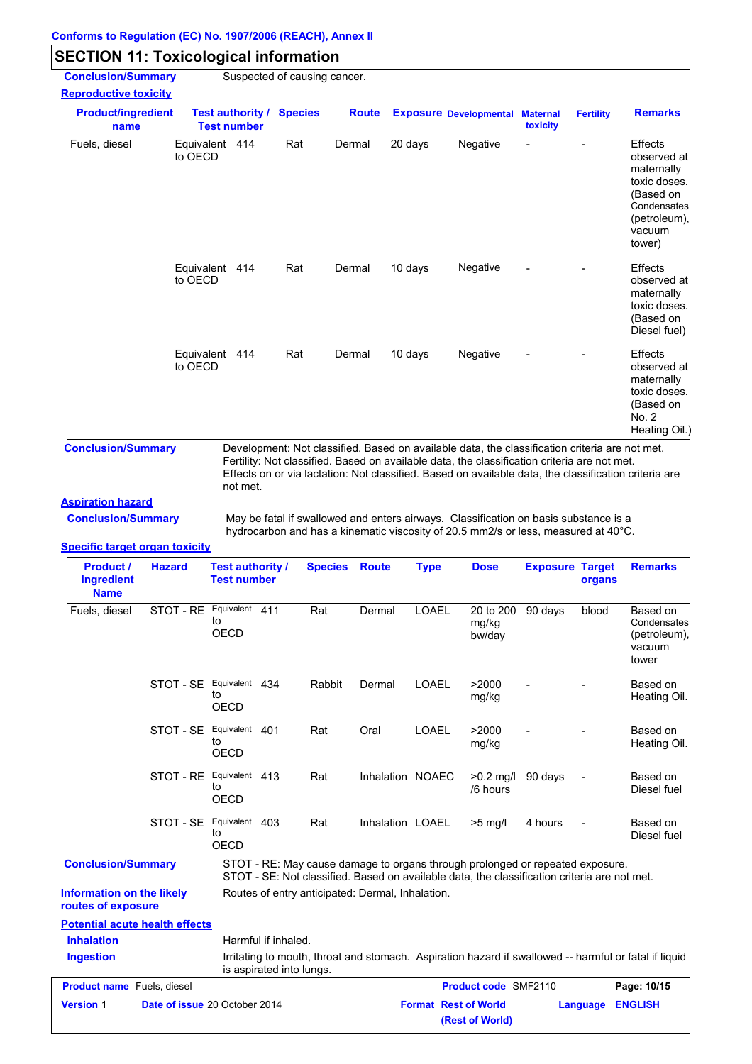# **SECTION 11: Toxicological information**

**Conclusion/Summary** Suspected of causing cancer.

### **Reproductive toxicity**

| <b>Product/ingredient</b><br>name | <b>Test number</b>        | <b>Test authority /</b> | <b>Species</b> | <b>Route</b> |         | <b>Exposure Developmental</b> | <b>Maternal</b><br>toxicity | <b>Fertility</b> | <b>Remarks</b>                                                                                                       |
|-----------------------------------|---------------------------|-------------------------|----------------|--------------|---------|-------------------------------|-----------------------------|------------------|----------------------------------------------------------------------------------------------------------------------|
| Fuels, diesel                     | Equivalent 414<br>to OECD |                         | Rat            | Dermal       | 20 days | Negative                      | L                           |                  | Effects<br>observed at<br>maternally<br>toxic doses.<br>(Based on<br>Condensates<br>(petroleum),<br>vacuum<br>tower) |
|                                   | Equivalent 414<br>to OECD |                         | Rat            | Dermal       | 10 days | Negative                      | $\overline{a}$              |                  | Effects<br>observed at<br>maternally<br>toxic doses.<br>(Based on<br>Diesel fuel)                                    |
|                                   | Equivalent<br>to OECD     | 414                     | Rat            | Dermal       | 10 days | Negative                      | $\overline{a}$              |                  | Effects<br>observed at<br>maternally<br>toxic doses.<br>(Based on<br>No. 2<br>Heating Oil.)                          |

**Conclusion/Summary** Development: Not classified. Based on available data, the classification criteria are not met. Fertility: Not classified. Based on available data, the classification criteria are not met. Effects on or via lactation: Not classified. Based on available data, the classification criteria are not met.

#### **Aspiration hazard**

**Conclusion/Summary**

May be fatal if swallowed and enters airways. Classification on basis substance is a hydrocarbon and has a kinematic viscosity of 20.5 mm2/s or less, measured at 40°C.

#### **Specific target organ toxicity**

| <b>Product /</b><br><b>Ingredient</b><br><b>Name</b> | <b>Hazard</b> | <b>Test authority /</b><br><b>Test number</b> |     | <b>Species</b> | <b>Route</b>                                     | <b>Type</b>  | <b>Dose</b>                  | <b>Exposure Target</b>                                                                                                                                                        | organs                   | <b>Remarks</b>                                             |
|------------------------------------------------------|---------------|-----------------------------------------------|-----|----------------|--------------------------------------------------|--------------|------------------------------|-------------------------------------------------------------------------------------------------------------------------------------------------------------------------------|--------------------------|------------------------------------------------------------|
| Fuels, diesel                                        | STOT - RE     | Equivalent<br>to<br>OECD                      | 411 | Rat            | Dermal                                           | <b>LOAEL</b> | 20 to 200<br>mg/kg<br>bw/day | 90 days                                                                                                                                                                       | blood                    | Based on<br>Condensates<br>(petroleum),<br>vacuum<br>tower |
|                                                      | STOT - SE     | Equivalent<br>to<br><b>OECD</b>               | 434 | Rabbit         | Dermal                                           | <b>LOAEL</b> | >2000<br>mg/kg               |                                                                                                                                                                               |                          | Based on<br>Heating Oil.                                   |
|                                                      | STOT - SE     | Equivalent<br>to<br><b>OECD</b>               | 401 | Rat            | Oral                                             | <b>LOAEL</b> | >2000<br>mg/kg               |                                                                                                                                                                               |                          | Based on<br>Heating Oil.                                   |
|                                                      | STOT - RE     | Equivalent<br>to<br>OECD                      | 413 | Rat            | Inhalation NOAEC                                 |              | $>0.2$ mg/l<br>/6 hours      | 90 days                                                                                                                                                                       | $\overline{\phantom{a}}$ | Based on<br>Diesel fuel                                    |
|                                                      | STOT - SE     | Equivalent<br>to<br>OECD                      | 403 | Rat            | Inhalation LOAEL                                 |              | $>5$ mg/l                    | 4 hours                                                                                                                                                                       | $\overline{\phantom{a}}$ | Based on<br>Diesel fuel                                    |
| <b>Conclusion/Summary</b>                            |               |                                               |     |                |                                                  |              |                              | STOT - RE: May cause damage to organs through prolonged or repeated exposure.<br>STOT - SE: Not classified. Based on available data, the classification criteria are not met. |                          |                                                            |
| <b>Information on the likely</b>                     |               |                                               |     |                | Routes of entry anticipated: Dermal, Inhalation. |              |                              |                                                                                                                                                                               |                          |                                                            |

# **routes of exposure**

### **Potential acute health effects**

**Inhalation** Harmful if inhaled.

| <b>Ingestion</b> | Irritating to mouth, throat and stomach. Aspiration hazard if swallowed -- harmful or fatal if liquid |
|------------------|-------------------------------------------------------------------------------------------------------|
|                  | is aspirated into lungs.                                                                              |
|                  |                                                                                                       |

| <b>Product name</b> Fuels, diesel |                                      | <b>Product code SMF2110</b> |                  | Page: 10/15 |
|-----------------------------------|--------------------------------------|-----------------------------|------------------|-------------|
| <b>Version 1</b>                  | <b>Date of issue 20 October 2014</b> | <b>Format Rest of World</b> | Language ENGLISH |             |
|                                   |                                      | (Rest of World)             |                  |             |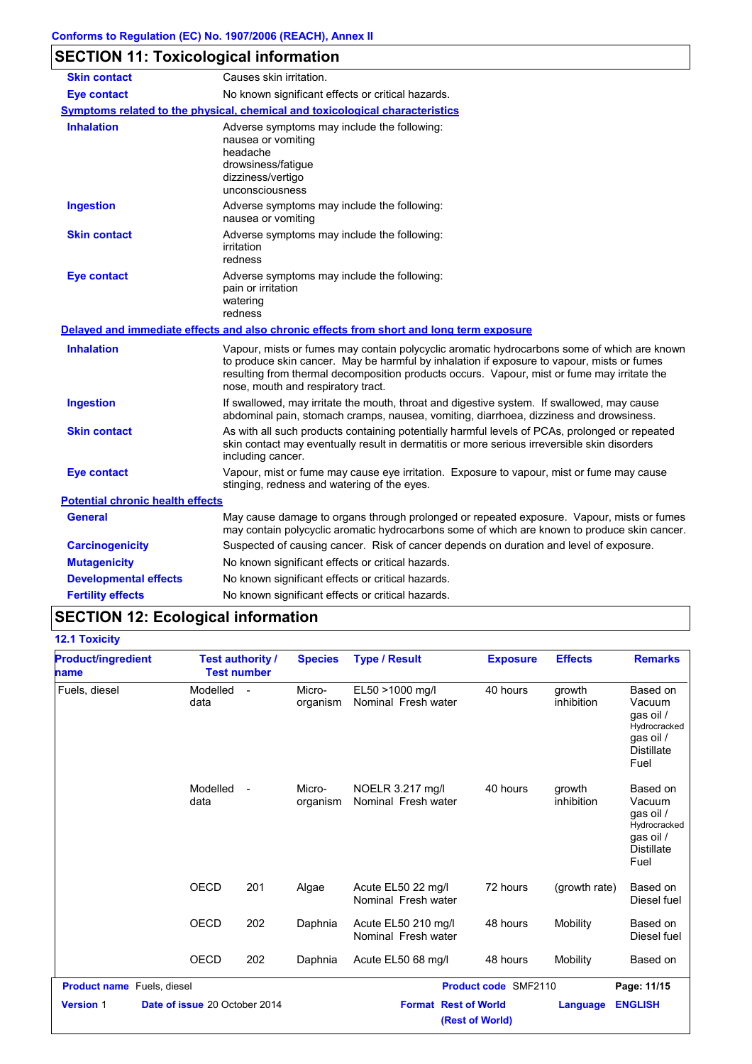# **SECTION 11: Toxicological information**

| <b>Skin contact</b>                     | Causes skin irritation.                                                                                                                                                                                                                                                                                                        |
|-----------------------------------------|--------------------------------------------------------------------------------------------------------------------------------------------------------------------------------------------------------------------------------------------------------------------------------------------------------------------------------|
| <b>Eye contact</b>                      | No known significant effects or critical hazards.                                                                                                                                                                                                                                                                              |
|                                         | <u>Symptoms related to the physical, chemical and toxicological characteristics</u>                                                                                                                                                                                                                                            |
| <b>Inhalation</b>                       | Adverse symptoms may include the following:<br>nausea or vomiting<br>headache<br>drowsiness/fatigue<br>dizziness/vertigo<br>unconsciousness                                                                                                                                                                                    |
| <b>Ingestion</b>                        | Adverse symptoms may include the following:<br>nausea or vomiting                                                                                                                                                                                                                                                              |
| <b>Skin contact</b>                     | Adverse symptoms may include the following:<br>irritation<br>redness                                                                                                                                                                                                                                                           |
| <b>Eye contact</b>                      | Adverse symptoms may include the following:<br>pain or irritation<br>watering<br>redness                                                                                                                                                                                                                                       |
|                                         | Delayed and immediate effects and also chronic effects from short and long term exposure                                                                                                                                                                                                                                       |
| <b>Inhalation</b>                       | Vapour, mists or fumes may contain polycyclic aromatic hydrocarbons some of which are known<br>to produce skin cancer. May be harmful by inhalation if exposure to vapour, mists or fumes<br>resulting from thermal decomposition products occurs. Vapour, mist or fume may irritate the<br>nose, mouth and respiratory tract. |
| <b>Ingestion</b>                        | If swallowed, may irritate the mouth, throat and digestive system. If swallowed, may cause<br>abdominal pain, stomach cramps, nausea, vomiting, diarrhoea, dizziness and drowsiness.                                                                                                                                           |
| <b>Skin contact</b>                     | As with all such products containing potentially harmful levels of PCAs, prolonged or repeated<br>skin contact may eventually result in dermatitis or more serious irreversible skin disorders<br>including cancer.                                                                                                            |
| <b>Eye contact</b>                      | Vapour, mist or fume may cause eye irritation. Exposure to vapour, mist or fume may cause<br>stinging, redness and watering of the eyes.                                                                                                                                                                                       |
| <b>Potential chronic health effects</b> |                                                                                                                                                                                                                                                                                                                                |
| General                                 | May cause damage to organs through prolonged or repeated exposure. Vapour, mists or fumes<br>may contain polycyclic aromatic hydrocarbons some of which are known to produce skin cancer.                                                                                                                                      |
| <b>Carcinogenicity</b>                  | Suspected of causing cancer. Risk of cancer depends on duration and level of exposure.                                                                                                                                                                                                                                         |
| <b>Mutagenicity</b>                     | No known significant effects or critical hazards.                                                                                                                                                                                                                                                                              |
| <b>Developmental effects</b>            | No known significant effects or critical hazards.                                                                                                                                                                                                                                                                              |
| <b>Fertility effects</b>                | No known significant effects or critical hazards.                                                                                                                                                                                                                                                                              |

# **SECTION 12: Ecological information**

### **12.1 Toxicity**

| <b>Product/ingredient</b><br>name | <b>Test authority /</b><br><b>Test number</b> |     | <b>Species</b>     | <b>Type / Result</b>                       | <b>Exposure</b>             | <b>Effects</b>       | <b>Remarks</b>                                                                            |
|-----------------------------------|-----------------------------------------------|-----|--------------------|--------------------------------------------|-----------------------------|----------------------|-------------------------------------------------------------------------------------------|
| Fuels, diesel                     | Modelled<br>data                              |     | Micro-<br>organism | EL50 >1000 mg/l<br>Nominal Fresh water     | 40 hours                    | growth<br>inhibition | Based on<br>Vacuum<br>qas oil /<br>Hydrocracked<br>gas oil /<br><b>Distillate</b><br>Fuel |
|                                   | Modelled<br>data                              |     | Micro-<br>organism | NOELR 3.217 mg/l<br>Nominal Fresh water    | 40 hours                    | growth<br>inhibition | Based on<br>Vacuum<br>gas oil /<br>Hydrocracked<br>qas oil /<br><b>Distillate</b><br>Fuel |
|                                   | <b>OECD</b>                                   | 201 | Algae              | Acute EL50 22 mg/l<br>Nominal Fresh water  | 72 hours                    | (growth rate)        | Based on<br>Diesel fuel                                                                   |
|                                   | <b>OECD</b>                                   | 202 | Daphnia            | Acute EL50 210 mg/l<br>Nominal Fresh water | 48 hours                    | Mobility             | Based on<br>Diesel fuel                                                                   |
|                                   | OECD                                          | 202 | Daphnia            | Acute EL50 68 mg/l                         | 48 hours                    | Mobility             | Based on                                                                                  |
| <b>Product name</b> Fuels, diesel |                                               |     |                    |                                            | <b>Product code SMF2110</b> |                      | Page: 11/15                                                                               |
| <b>Version 1</b>                  | Date of issue 20 October 2014                 |     |                    | <b>Format Rest of World</b>                | (Rest of World)             | Language             | <b>ENGLISH</b>                                                                            |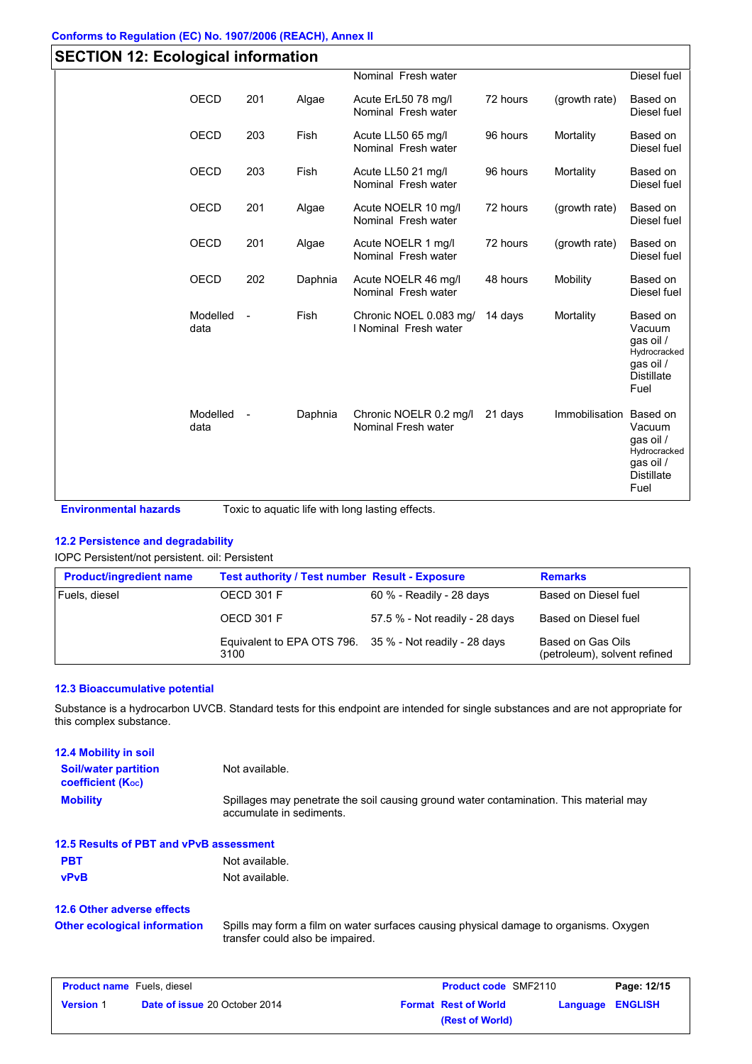| <b>SECTION 12: Ecological information</b> |                  |     |         |                                                 |          |                |                                                                                           |
|-------------------------------------------|------------------|-----|---------|-------------------------------------------------|----------|----------------|-------------------------------------------------------------------------------------------|
|                                           |                  |     |         | Nominal Fresh water                             |          |                | Diesel fuel                                                                               |
|                                           | <b>OECD</b>      | 201 | Algae   | Acute ErL50 78 mg/l<br>Nominal Fresh water      | 72 hours | (growth rate)  | Based on<br>Diesel fuel                                                                   |
|                                           | <b>OECD</b>      | 203 | Fish    | Acute LL50 65 mg/l<br>Nominal Fresh water       | 96 hours | Mortality      | Based on<br>Diesel fuel                                                                   |
|                                           | <b>OECD</b>      | 203 | Fish    | Acute LL50 21 mg/l<br>Nominal Fresh water       | 96 hours | Mortality      | Based on<br>Diesel fuel                                                                   |
|                                           | <b>OECD</b>      | 201 | Algae   | Acute NOELR 10 mg/l<br>Nominal Fresh water      | 72 hours | (growth rate)  | Based on<br>Diesel fuel                                                                   |
|                                           | <b>OECD</b>      | 201 | Algae   | Acute NOELR 1 mg/l<br>Nominal Fresh water       | 72 hours | (growth rate)  | Based on<br>Diesel fuel                                                                   |
|                                           | <b>OECD</b>      | 202 | Daphnia | Acute NOELR 46 mg/l<br>Nominal Fresh water      | 48 hours | Mobility       | Based on<br>Diesel fuel                                                                   |
|                                           | Modelled<br>data |     | Fish    | Chronic NOEL 0.083 mg/<br>I Nominal Fresh water | 14 days  | Mortality      | Based on<br>Vacuum<br>qas oil /<br>Hydrocracked<br>gas oil /<br><b>Distillate</b><br>Fuel |
|                                           | Modelled<br>data |     | Daphnia | Chronic NOELR 0.2 mg/l<br>Nominal Fresh water   | 21 days  | Immobilisation | Based on<br>Vacuum<br>qas oil /<br>Hydrocracked<br>gas oil /<br><b>Distillate</b><br>Fuel |

**Environmental hazards** Toxic to aquatic life with long lasting effects.

### **12.2 Persistence and degradability**

### IOPC Persistent/not persistent. oil: Persistent

| <b>Product/ingredient name</b> | <b>Test authority / Test number Result - Exposure</b>           |                                | <b>Remarks</b>                                    |  |
|--------------------------------|-----------------------------------------------------------------|--------------------------------|---------------------------------------------------|--|
| Fuels, diesel                  | OECD 301 F                                                      | 60 % - Readily - 28 days       | Based on Diesel fuel                              |  |
|                                | OECD 301 F                                                      | 57.5 % - Not readily - 28 days | Based on Diesel fuel                              |  |
|                                | Equivalent to EPA OTS 796. 35 % - Not readily - 28 days<br>3100 |                                | Based on Gas Oils<br>(petroleum), solvent refined |  |

### **12.3 Bioaccumulative potential**

Substance is a hydrocarbon UVCB. Standard tests for this endpoint are intended for single substances and are not appropriate for this complex substance.

| <b>12.4 Mobility in soil</b>                          |                                                                                                                    |
|-------------------------------------------------------|--------------------------------------------------------------------------------------------------------------------|
| <b>Soil/water partition</b><br>coefficient $(K_{oc})$ | Not available.                                                                                                     |
| <b>Mobility</b>                                       | Spillages may penetrate the soil causing ground water contamination. This material may<br>accumulate in sediments. |

**PBT** Not available. **vPvB** Not available. **12.5 Results of PBT and vPvB assessment**

### **12.6 Other adverse effects Other ecological information**

Spills may form a film on water surfaces causing physical damage to organisms. Oxygen transfer could also be impaired.

| <b>Product name</b> Fuels, diesel |                                      | <b>Product code SMF2110</b> |                             | Page: 12/15 |                         |
|-----------------------------------|--------------------------------------|-----------------------------|-----------------------------|-------------|-------------------------|
| <b>Version 1</b>                  | <b>Date of issue 20 October 2014</b> |                             | <b>Format Rest of World</b> |             | <b>Language ENGLISH</b> |
|                                   |                                      |                             | (Rest of World)             |             |                         |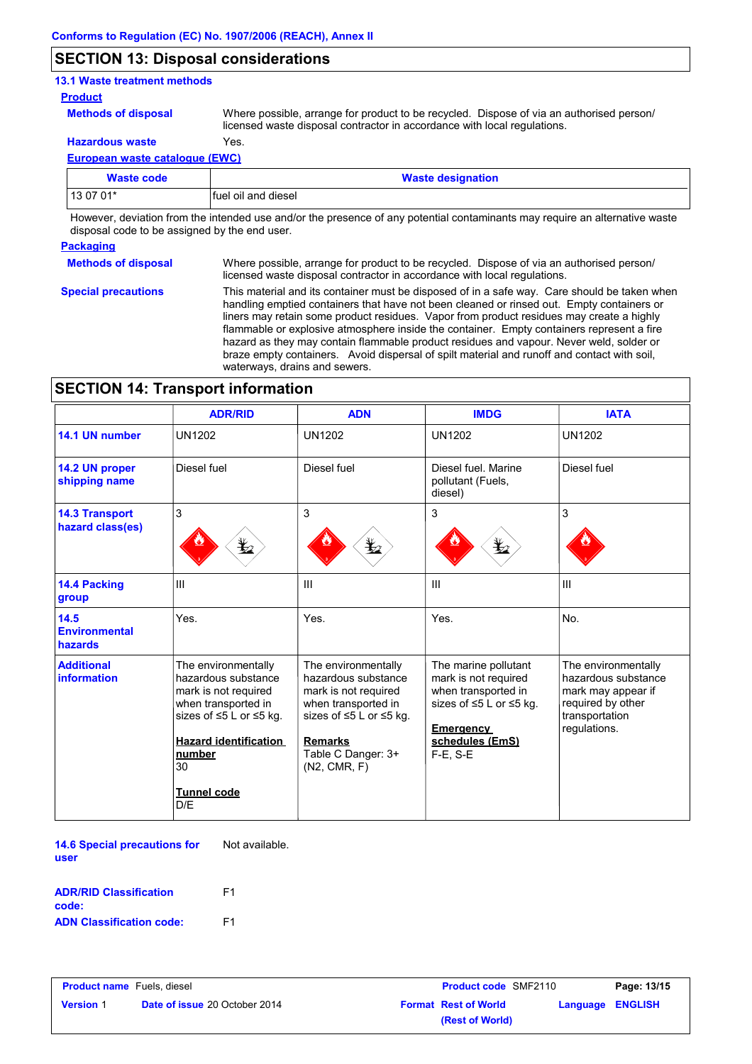# **SECTION 13: Disposal considerations**

### **13.1 Waste treatment methods**

#### **Product**

**Methods of disposal**

**Hazardous waste** Yes. Where possible, arrange for product to be recycled. Dispose of via an authorised person/ licensed waste disposal contractor in accordance with local regulations.

**European waste catalogue (EWC)**

| Waste code | <b>Waste designation</b> |
|------------|--------------------------|
| 13 07 01*  | Ifuel oil and diesel     |

However, deviation from the intended use and/or the presence of any potential contaminants may require an alternative waste disposal code to be assigned by the end user.

#### **Packaging**

**Special precautions**

**Methods of disposal** Where possible, arrange for product to be recycled. Dispose of via an authorised person/ licensed waste disposal contractor in accordance with local regulations.

> This material and its container must be disposed of in a safe way. Care should be taken when handling emptied containers that have not been cleaned or rinsed out. Empty containers or liners may retain some product residues. Vapor from product residues may create a highly flammable or explosive atmosphere inside the container. Empty containers represent a fire hazard as they may contain flammable product residues and vapour. Never weld, solder or braze empty containers. Avoid dispersal of spilt material and runoff and contact with soil, waterways, drains and sewers.

# **SECTION 14: Transport information**

|                                           | <b>ADR/RID</b>                                                                                                                                                                                                | <b>ADN</b>                                                                                                                                                                               | <b>IMDG</b>                                                                                                                                          | <b>IATA</b>                                                                                                             |
|-------------------------------------------|---------------------------------------------------------------------------------------------------------------------------------------------------------------------------------------------------------------|------------------------------------------------------------------------------------------------------------------------------------------------------------------------------------------|------------------------------------------------------------------------------------------------------------------------------------------------------|-------------------------------------------------------------------------------------------------------------------------|
| 14.1 UN number                            | <b>UN1202</b>                                                                                                                                                                                                 | <b>UN1202</b>                                                                                                                                                                            | <b>UN1202</b>                                                                                                                                        | <b>UN1202</b>                                                                                                           |
| 14.2 UN proper<br>shipping name           | Diesel fuel                                                                                                                                                                                                   | Diesel fuel                                                                                                                                                                              | Diesel fuel, Marine<br>pollutant (Fuels,<br>diesel)                                                                                                  | Diesel fuel                                                                                                             |
| <b>14.3 Transport</b><br>hazard class(es) | 3<br>⋭2                                                                                                                                                                                                       | 3<br>r,                                                                                                                                                                                  | 3<br>q                                                                                                                                               | 3                                                                                                                       |
| 14.4 Packing<br>group                     | Ш                                                                                                                                                                                                             | $\mathbf{H}$                                                                                                                                                                             | III                                                                                                                                                  | III                                                                                                                     |
| 14.5<br><b>Environmental</b><br>hazards   | Yes.                                                                                                                                                                                                          | Yes.                                                                                                                                                                                     | Yes.                                                                                                                                                 | No.                                                                                                                     |
| <b>Additional</b><br>information          | The environmentally<br>hazardous substance<br>mark is not required<br>when transported in<br>sizes of $\leq$ 5 L or $\leq$ 5 kg.<br><b>Hazard identification</b><br>number<br>30<br><b>Tunnel code</b><br>D/E | The environmentally<br>hazardous substance<br>mark is not required<br>when transported in<br>sizes of $\leq$ 5 L or $\leq$ 5 kg.<br><b>Remarks</b><br>Table C Danger: 3+<br>(N2, CMR, F) | The marine pollutant<br>mark is not required<br>when transported in<br>sizes of ≤5 L or ≤5 kg.<br><b>Emergency</b><br>schedules (EmS)<br>$F-E$ , S-E | The environmentally<br>hazardous substance<br>mark may appear if<br>required by other<br>transportation<br>regulations. |

**14.6 Special precautions for user** Not available.

| <b>ADR/RID Classification</b>   | F1 |
|---------------------------------|----|
| code:                           |    |
| <b>ADN Classification code:</b> | F1 |

| <b>Product name</b> Fuels, diesel |                                      | <b>Product code SMF2110</b> | Page: 13/15                |
|-----------------------------------|--------------------------------------|-----------------------------|----------------------------|
| <b>Version 1</b>                  | <b>Date of issue 20 October 2014</b> | <b>Format Rest of World</b> | <b>ENGLISH</b><br>Language |
|                                   |                                      | (Rest of World)             |                            |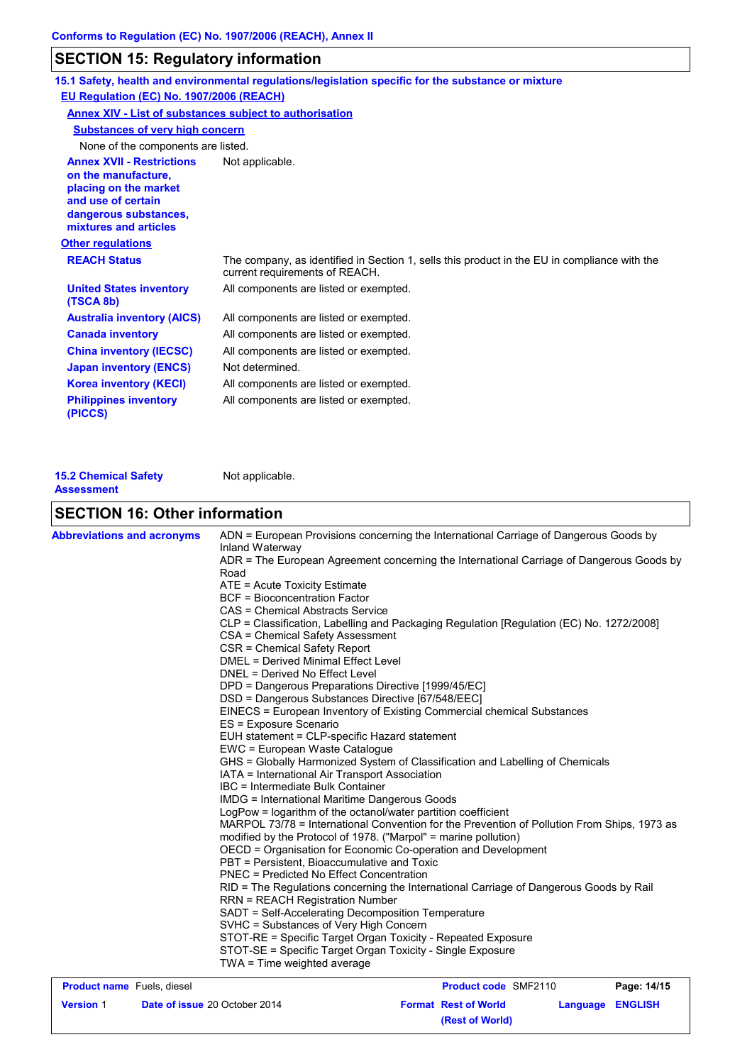# **SECTION 15: Regulatory information**

| EU Regulation (EC) No. 1907/2006 (REACH)                                                                                                                 | 15.1 Safety, health and environmental regulations/legislation specific for the substance or mixture                            |
|----------------------------------------------------------------------------------------------------------------------------------------------------------|--------------------------------------------------------------------------------------------------------------------------------|
| <b>Annex XIV - List of substances subject to authorisation</b>                                                                                           |                                                                                                                                |
| <b>Substances of very high concern</b>                                                                                                                   |                                                                                                                                |
| None of the components are listed.                                                                                                                       |                                                                                                                                |
| <b>Annex XVII - Restrictions</b><br>on the manufacture,<br>placing on the market<br>and use of certain<br>dangerous substances,<br>mixtures and articles | Not applicable.                                                                                                                |
| <b>Other regulations</b>                                                                                                                                 |                                                                                                                                |
| <b>REACH Status</b>                                                                                                                                      | The company, as identified in Section 1, sells this product in the EU in compliance with the<br>current requirements of REACH. |
| <b>United States inventory</b><br>(TSCA 8b)                                                                                                              | All components are listed or exempted.                                                                                         |
| <b>Australia inventory (AICS)</b>                                                                                                                        | All components are listed or exempted.                                                                                         |
| <b>Canada inventory</b>                                                                                                                                  | All components are listed or exempted.                                                                                         |
| <b>China inventory (IECSC)</b>                                                                                                                           | All components are listed or exempted.                                                                                         |
| <b>Japan inventory (ENCS)</b>                                                                                                                            | Not determined.                                                                                                                |
| <b>Korea inventory (KECI)</b>                                                                                                                            | All components are listed or exempted.                                                                                         |
| <b>Philippines inventory</b><br>(PICCS)                                                                                                                  | All components are listed or exempted.                                                                                         |

| <b>15.2 Chemical Safety</b> | Not applicable. |
|-----------------------------|-----------------|
| <b>Assessment</b>           |                 |

# **SECTION 16: Other information**

| <b>Abbreviations and acronyms</b> | ADN = European Provisions concerning the International Carriage of Dangerous Goods by<br>Inland Waterway<br>ADR = The European Agreement concerning the International Carriage of Dangerous Goods by<br>Road<br>ATE = Acute Toxicity Estimate<br><b>BCF</b> = Bioconcentration Factor<br>CAS = Chemical Abstracts Service<br>CLP = Classification, Labelling and Packaging Regulation [Regulation (EC) No. 1272/2008]<br>CSA = Chemical Safety Assessment<br>CSR = Chemical Safety Report<br><b>DMEL = Derived Minimal Effect Level</b><br>DNEL = Derived No Effect Level<br>DPD = Dangerous Preparations Directive [1999/45/EC]<br>DSD = Dangerous Substances Directive [67/548/EEC]<br>EINECS = European Inventory of Existing Commercial chemical Substances<br>ES = Exposure Scenario<br>EUH statement = CLP-specific Hazard statement<br>EWC = European Waste Catalogue<br>GHS = Globally Harmonized System of Classification and Labelling of Chemicals<br>IATA = International Air Transport Association<br>IBC = Intermediate Bulk Container<br><b>IMDG = International Maritime Dangerous Goods</b> |                                                                                                                                                                                                                                                                                                                           |                  |
|-----------------------------------|--------------------------------------------------------------------------------------------------------------------------------------------------------------------------------------------------------------------------------------------------------------------------------------------------------------------------------------------------------------------------------------------------------------------------------------------------------------------------------------------------------------------------------------------------------------------------------------------------------------------------------------------------------------------------------------------------------------------------------------------------------------------------------------------------------------------------------------------------------------------------------------------------------------------------------------------------------------------------------------------------------------------------------------------------------------------------------------------------------------|---------------------------------------------------------------------------------------------------------------------------------------------------------------------------------------------------------------------------------------------------------------------------------------------------------------------------|------------------|
|                                   | PBT = Persistent, Bioaccumulative and Toxic<br>PNEC = Predicted No Effect Concentration                                                                                                                                                                                                                                                                                                                                                                                                                                                                                                                                                                                                                                                                                                                                                                                                                                                                                                                                                                                                                      | MARPOL 73/78 = International Convention for the Prevention of Pollution From Ships, 1973 as<br>modified by the Protocol of 1978. ("Marpol" = marine pollution)<br>OECD = Organisation for Economic Co-operation and Development<br>RID = The Regulations concerning the International Carriage of Dangerous Goods by Rail |                  |
|                                   | <b>RRN = REACH Registration Number</b><br>SVHC = Substances of Very High Concern<br>TWA = Time weighted average                                                                                                                                                                                                                                                                                                                                                                                                                                                                                                                                                                                                                                                                                                                                                                                                                                                                                                                                                                                              | SADT = Self-Accelerating Decomposition Temperature<br>STOT-RE = Specific Target Organ Toxicity - Repeated Exposure<br>STOT-SE = Specific Target Organ Toxicity - Single Exposure                                                                                                                                          |                  |
| <b>Product name</b> Fuels, diesel |                                                                                                                                                                                                                                                                                                                                                                                                                                                                                                                                                                                                                                                                                                                                                                                                                                                                                                                                                                                                                                                                                                              | <b>Product code SMF2110</b>                                                                                                                                                                                                                                                                                               | Page: 14/15      |
| <b>Version 1</b>                  | Date of issue 20 October 2014                                                                                                                                                                                                                                                                                                                                                                                                                                                                                                                                                                                                                                                                                                                                                                                                                                                                                                                                                                                                                                                                                | <b>Format Rest of World</b>                                                                                                                                                                                                                                                                                               | Language ENGLISH |

**(Rest of World)**